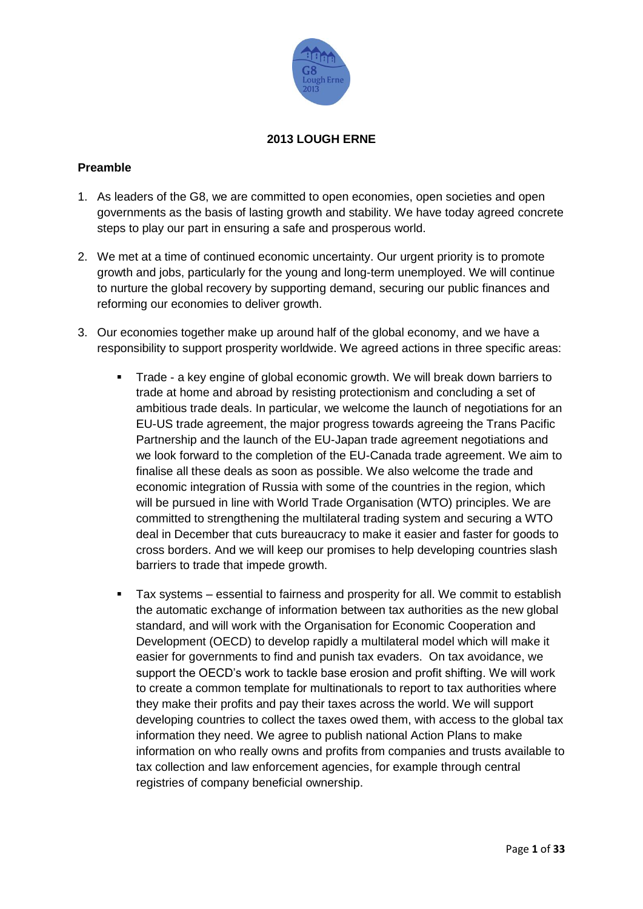

#### **2013 LOUGH ERNE**

#### **Preamble**

- 1. As leaders of the G8, we are committed to open economies, open societies and open governments as the basis of lasting growth and stability. We have today agreed concrete steps to play our part in ensuring a safe and prosperous world.
- 2. We met at a time of continued economic uncertainty. Our urgent priority is to promote growth and jobs, particularly for the young and long-term unemployed. We will continue to nurture the global recovery by supporting demand, securing our public finances and reforming our economies to deliver growth.
- 3. Our economies together make up around half of the global economy, and we have a responsibility to support prosperity worldwide. We agreed actions in three specific areas:
	- Trade a key engine of global economic growth. We will break down barriers to trade at home and abroad by resisting protectionism and concluding a set of ambitious trade deals. In particular, we welcome the launch of negotiations for an EU-US trade agreement, the major progress towards agreeing the Trans Pacific Partnership and the launch of the EU-Japan trade agreement negotiations and we look forward to the completion of the EU-Canada trade agreement. We aim to finalise all these deals as soon as possible. We also welcome the trade and economic integration of Russia with some of the countries in the region, which will be pursued in line with World Trade Organisation (WTO) principles. We are committed to strengthening the multilateral trading system and securing a WTO deal in December that cuts bureaucracy to make it easier and faster for goods to cross borders. And we will keep our promises to help developing countries slash barriers to trade that impede growth.
	- Tax systems essential to fairness and prosperity for all. We commit to establish the automatic exchange of information between tax authorities as the new global standard, and will work with the Organisation for Economic Cooperation and Development (OECD) to develop rapidly a multilateral model which will make it easier for governments to find and punish tax evaders. On tax avoidance, we support the OECD's work to tackle base erosion and profit shifting. We will work to create a common template for multinationals to report to tax authorities where they make their profits and pay their taxes across the world. We will support developing countries to collect the taxes owed them, with access to the global tax information they need. We agree to publish national Action Plans to make information on who really owns and profits from companies and trusts available to tax collection and law enforcement agencies, for example through central registries of company beneficial ownership.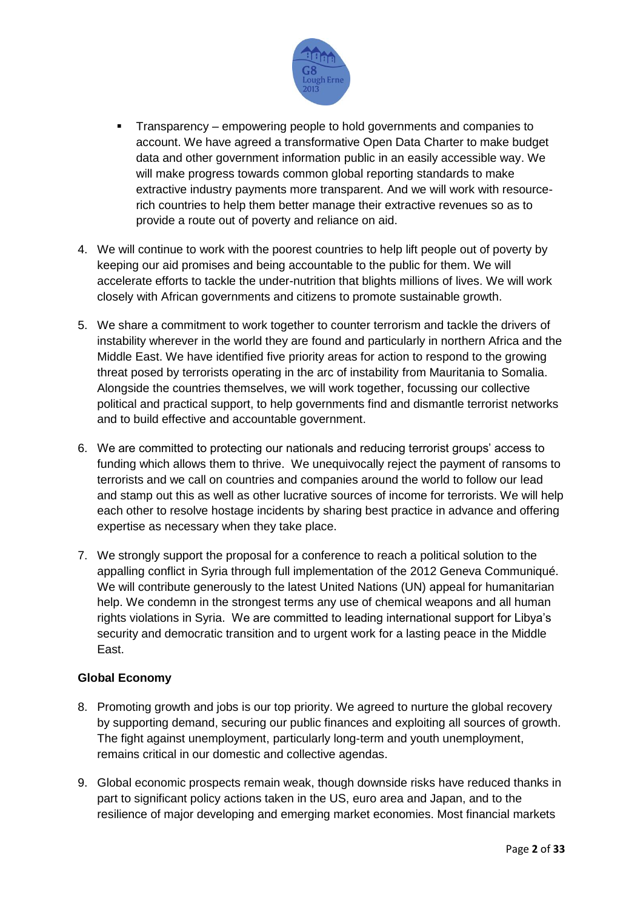

- Transparency empowering people to hold governments and companies to account. We have agreed a transformative Open Data Charter to make budget data and other government information public in an easily accessible way. We will make progress towards common global reporting standards to make extractive industry payments more transparent. And we will work with resourcerich countries to help them better manage their extractive revenues so as to provide a route out of poverty and reliance on aid.
- 4. We will continue to work with the poorest countries to help lift people out of poverty by keeping our aid promises and being accountable to the public for them. We will accelerate efforts to tackle the under-nutrition that blights millions of lives. We will work closely with African governments and citizens to promote sustainable growth.
- 5. We share a commitment to work together to counter terrorism and tackle the drivers of instability wherever in the world they are found and particularly in northern Africa and the Middle East. We have identified five priority areas for action to respond to the growing threat posed by terrorists operating in the arc of instability from Mauritania to Somalia. Alongside the countries themselves, we will work together, focussing our collective political and practical support, to help governments find and dismantle terrorist networks and to build effective and accountable government.
- 6. We are committed to protecting our nationals and reducing terrorist groups' access to funding which allows them to thrive. We unequivocally reject the payment of ransoms to terrorists and we call on countries and companies around the world to follow our lead and stamp out this as well as other lucrative sources of income for terrorists. We will help each other to resolve hostage incidents by sharing best practice in advance and offering expertise as necessary when they take place.
- 7. We strongly support the proposal for a conference to reach a political solution to the appalling conflict in Syria through full implementation of the 2012 Geneva Communiqué. We will contribute generously to the latest United Nations (UN) appeal for humanitarian help. We condemn in the strongest terms any use of chemical weapons and all human rights violations in Syria. We are committed to leading international support for Libya's security and democratic transition and to urgent work for a lasting peace in the Middle East.

#### **Global Economy**

- 8. Promoting growth and jobs is our top priority. We agreed to nurture the global recovery by supporting demand, securing our public finances and exploiting all sources of growth. The fight against unemployment, particularly long-term and youth unemployment, remains critical in our domestic and collective agendas.
- 9. Global economic prospects remain weak, though downside risks have reduced thanks in part to significant policy actions taken in the US, euro area and Japan, and to the resilience of major developing and emerging market economies. Most financial markets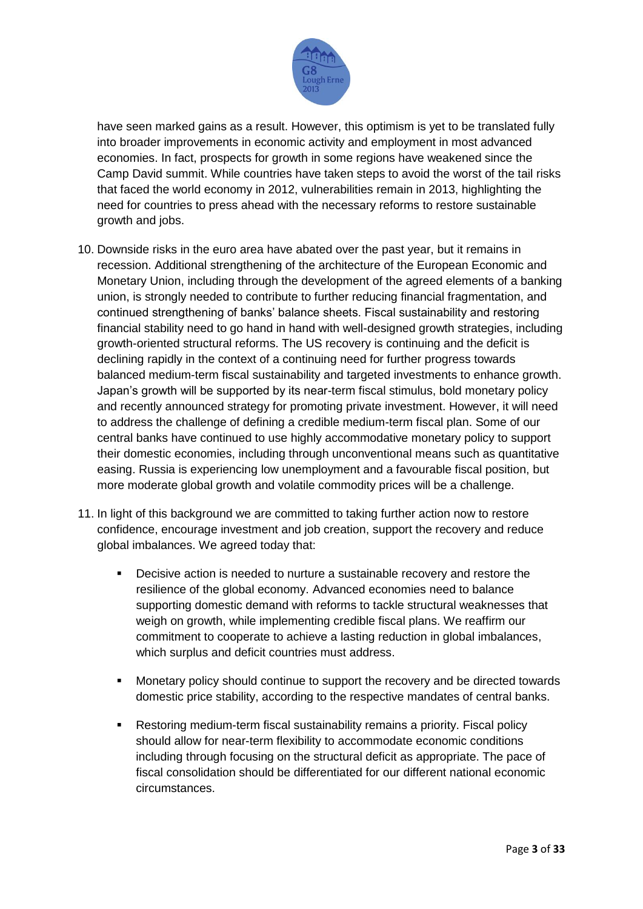

have seen marked gains as a result. However, this optimism is yet to be translated fully into broader improvements in economic activity and employment in most advanced economies. In fact, prospects for growth in some regions have weakened since the Camp David summit. While countries have taken steps to avoid the worst of the tail risks that faced the world economy in 2012, vulnerabilities remain in 2013, highlighting the need for countries to press ahead with the necessary reforms to restore sustainable growth and jobs.

- 10. Downside risks in the euro area have abated over the past year, but it remains in recession. Additional strengthening of the architecture of the European Economic and Monetary Union, including through the development of the agreed elements of a banking union, is strongly needed to contribute to further reducing financial fragmentation, and continued strengthening of banks' balance sheets. Fiscal sustainability and restoring financial stability need to go hand in hand with well-designed growth strategies, including growth-oriented structural reforms. The US recovery is continuing and the deficit is declining rapidly in the context of a continuing need for further progress towards balanced medium-term fiscal sustainability and targeted investments to enhance growth. Japan's growth will be supported by its near-term fiscal stimulus, bold monetary policy and recently announced strategy for promoting private investment. However, it will need to address the challenge of defining a credible medium-term fiscal plan. Some of our central banks have continued to use highly accommodative monetary policy to support their domestic economies, including through unconventional means such as quantitative easing. Russia is experiencing low unemployment and a favourable fiscal position, but more moderate global growth and volatile commodity prices will be a challenge.
- 11. In light of this background we are committed to taking further action now to restore confidence, encourage investment and job creation, support the recovery and reduce global imbalances. We agreed today that:
	- Decisive action is needed to nurture a sustainable recovery and restore the resilience of the global economy. Advanced economies need to balance supporting domestic demand with reforms to tackle structural weaknesses that weigh on growth, while implementing credible fiscal plans. We reaffirm our commitment to cooperate to achieve a lasting reduction in global imbalances, which surplus and deficit countries must address.
	- Monetary policy should continue to support the recovery and be directed towards domestic price stability, according to the respective mandates of central banks.
	- Restoring medium-term fiscal sustainability remains a priority. Fiscal policy should allow for near-term flexibility to accommodate economic conditions including through focusing on the structural deficit as appropriate. The pace of fiscal consolidation should be differentiated for our different national economic circumstances.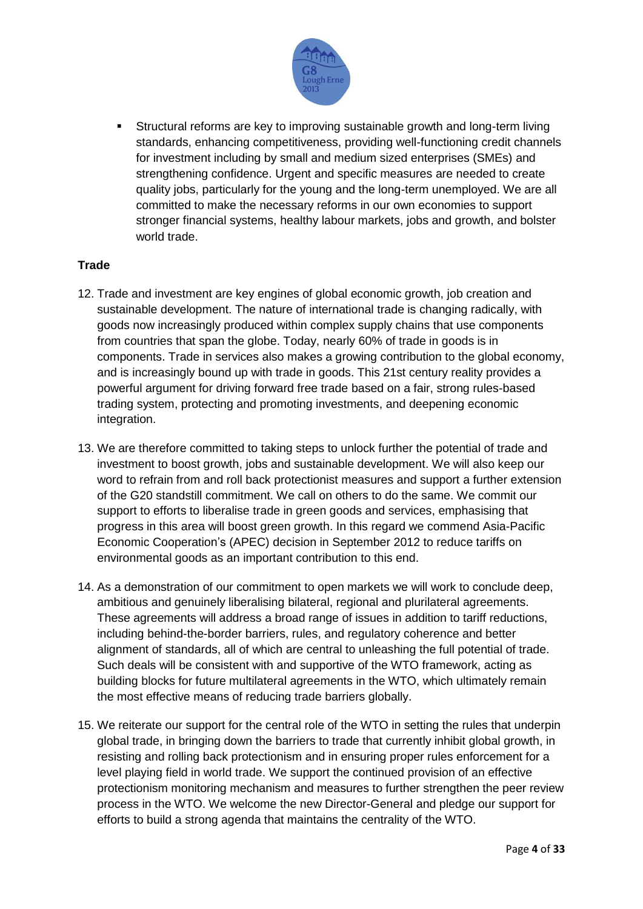

 Structural reforms are key to improving sustainable growth and long-term living standards, enhancing competitiveness, providing well-functioning credit channels for investment including by small and medium sized enterprises (SMEs) and strengthening confidence. Urgent and specific measures are needed to create quality jobs, particularly for the young and the long-term unemployed. We are all committed to make the necessary reforms in our own economies to support stronger financial systems, healthy labour markets, jobs and growth, and bolster world trade.

# **Trade**

- 12. Trade and investment are key engines of global economic growth, job creation and sustainable development. The nature of international trade is changing radically, with goods now increasingly produced within complex supply chains that use components from countries that span the globe. Today, nearly 60% of trade in goods is in components. Trade in services also makes a growing contribution to the global economy, and is increasingly bound up with trade in goods. This 21st century reality provides a powerful argument for driving forward free trade based on a fair, strong rules-based trading system, protecting and promoting investments, and deepening economic integration.
- 13. We are therefore committed to taking steps to unlock further the potential of trade and investment to boost growth, jobs and sustainable development. We will also keep our word to refrain from and roll back protectionist measures and support a further extension of the G20 standstill commitment. We call on others to do the same. We commit our support to efforts to liberalise trade in green goods and services, emphasising that progress in this area will boost green growth. In this regard we commend Asia-Pacific Economic Cooperation's (APEC) decision in September 2012 to reduce tariffs on environmental goods as an important contribution to this end.
- 14. As a demonstration of our commitment to open markets we will work to conclude deep, ambitious and genuinely liberalising bilateral, regional and plurilateral agreements. These agreements will address a broad range of issues in addition to tariff reductions, including behind-the-border barriers, rules, and regulatory coherence and better alignment of standards, all of which are central to unleashing the full potential of trade. Such deals will be consistent with and supportive of the WTO framework, acting as building blocks for future multilateral agreements in the WTO, which ultimately remain the most effective means of reducing trade barriers globally.
- 15. We reiterate our support for the central role of the WTO in setting the rules that underpin global trade, in bringing down the barriers to trade that currently inhibit global growth, in resisting and rolling back protectionism and in ensuring proper rules enforcement for a level playing field in world trade. We support the continued provision of an effective protectionism monitoring mechanism and measures to further strengthen the peer review process in the WTO. We welcome the new Director-General and pledge our support for efforts to build a strong agenda that maintains the centrality of the WTO.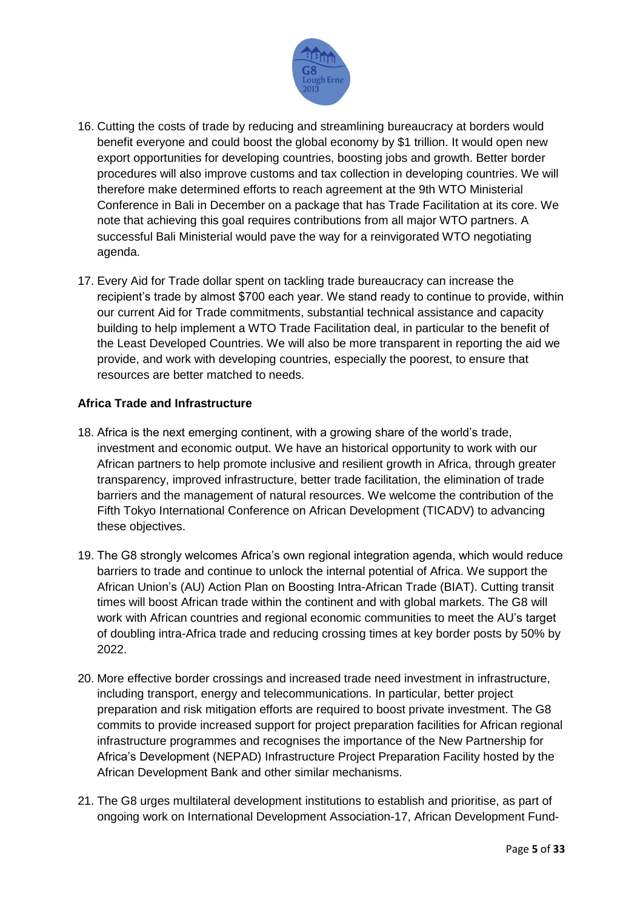

- 16. Cutting the costs of trade by reducing and streamlining bureaucracy at borders would benefit everyone and could boost the global economy by \$1 trillion. It would open new export opportunities for developing countries, boosting jobs and growth. Better border procedures will also improve customs and tax collection in developing countries. We will therefore make determined efforts to reach agreement at the 9th WTO Ministerial Conference in Bali in December on a package that has Trade Facilitation at its core. We note that achieving this goal requires contributions from all major WTO partners. A successful Bali Ministerial would pave the way for a reinvigorated WTO negotiating agenda.
- 17. Every Aid for Trade dollar spent on tackling trade bureaucracy can increase the recipient's trade by almost \$700 each year. We stand ready to continue to provide, within our current Aid for Trade commitments, substantial technical assistance and capacity building to help implement a WTO Trade Facilitation deal, in particular to the benefit of the Least Developed Countries. We will also be more transparent in reporting the aid we provide, and work with developing countries, especially the poorest, to ensure that resources are better matched to needs.

## **Africa Trade and Infrastructure**

- 18. Africa is the next emerging continent, with a growing share of the world's trade, investment and economic output. We have an historical opportunity to work with our African partners to help promote inclusive and resilient growth in Africa, through greater transparency, improved infrastructure, better trade facilitation, the elimination of trade barriers and the management of natural resources. We welcome the contribution of the Fifth Tokyo International Conference on African Development (TICADV) to advancing these objectives.
- 19. The G8 strongly welcomes Africa's own regional integration agenda, which would reduce barriers to trade and continue to unlock the internal potential of Africa. We support the African Union's (AU) Action Plan on Boosting Intra-African Trade (BIAT). Cutting transit times will boost African trade within the continent and with global markets. The G8 will work with African countries and regional economic communities to meet the AU's target of doubling intra-Africa trade and reducing crossing times at key border posts by 50% by 2022.
- 20. More effective border crossings and increased trade need investment in infrastructure, including transport, energy and telecommunications. In particular, better project preparation and risk mitigation efforts are required to boost private investment. The G8 commits to provide increased support for project preparation facilities for African regional infrastructure programmes and recognises the importance of the New Partnership for Africa's Development (NEPAD) Infrastructure Project Preparation Facility hosted by the African Development Bank and other similar mechanisms.
- 21. The G8 urges multilateral development institutions to establish and prioritise, as part of ongoing work on International Development Association-17, African Development Fund-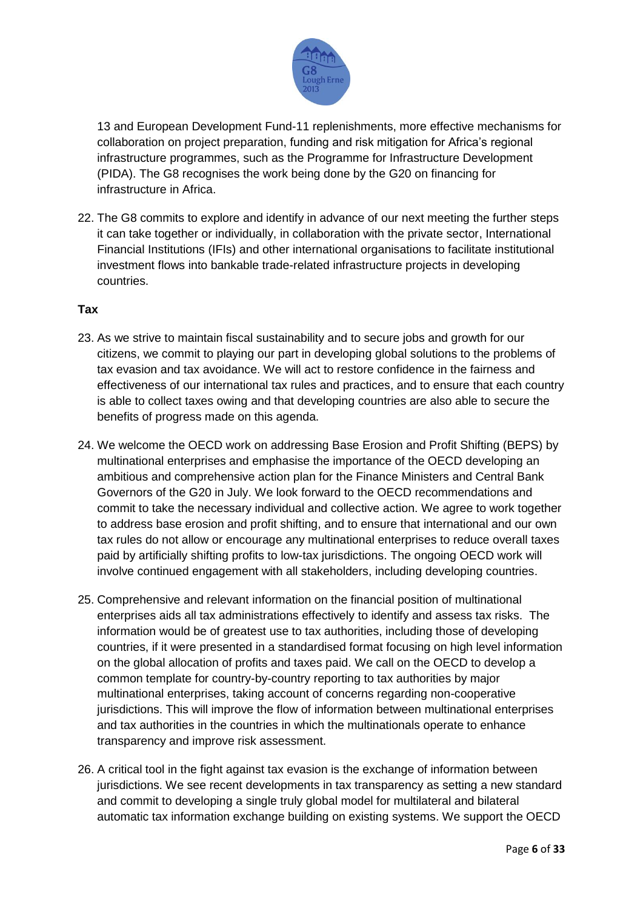

13 and European Development Fund-11 replenishments, more effective mechanisms for collaboration on project preparation, funding and risk mitigation for Africa's regional infrastructure programmes, such as the Programme for Infrastructure Development (PIDA). The G8 recognises the work being done by the G20 on financing for infrastructure in Africa.

22. The G8 commits to explore and identify in advance of our next meeting the further steps it can take together or individually, in collaboration with the private sector, International Financial Institutions (IFIs) and other international organisations to facilitate institutional investment flows into bankable trade-related infrastructure projects in developing countries.

## **Tax**

- 23. As we strive to maintain fiscal sustainability and to secure jobs and growth for our citizens, we commit to playing our part in developing global solutions to the problems of tax evasion and tax avoidance. We will act to restore confidence in the fairness and effectiveness of our international tax rules and practices, and to ensure that each country is able to collect taxes owing and that developing countries are also able to secure the benefits of progress made on this agenda.
- 24. We welcome the OECD work on addressing Base Erosion and Profit Shifting (BEPS) by multinational enterprises and emphasise the importance of the OECD developing an ambitious and comprehensive action plan for the Finance Ministers and Central Bank Governors of the G20 in July. We look forward to the OECD recommendations and commit to take the necessary individual and collective action. We agree to work together to address base erosion and profit shifting, and to ensure that international and our own tax rules do not allow or encourage any multinational enterprises to reduce overall taxes paid by artificially shifting profits to low-tax jurisdictions. The ongoing OECD work will involve continued engagement with all stakeholders, including developing countries.
- 25. Comprehensive and relevant information on the financial position of multinational enterprises aids all tax administrations effectively to identify and assess tax risks. The information would be of greatest use to tax authorities, including those of developing countries, if it were presented in a standardised format focusing on high level information on the global allocation of profits and taxes paid. We call on the OECD to develop a common template for country-by-country reporting to tax authorities by major multinational enterprises, taking account of concerns regarding non-cooperative jurisdictions. This will improve the flow of information between multinational enterprises and tax authorities in the countries in which the multinationals operate to enhance transparency and improve risk assessment.
- 26. A critical tool in the fight against tax evasion is the exchange of information between jurisdictions. We see recent developments in tax transparency as setting a new standard and commit to developing a single truly global model for multilateral and bilateral automatic tax information exchange building on existing systems. We support the OECD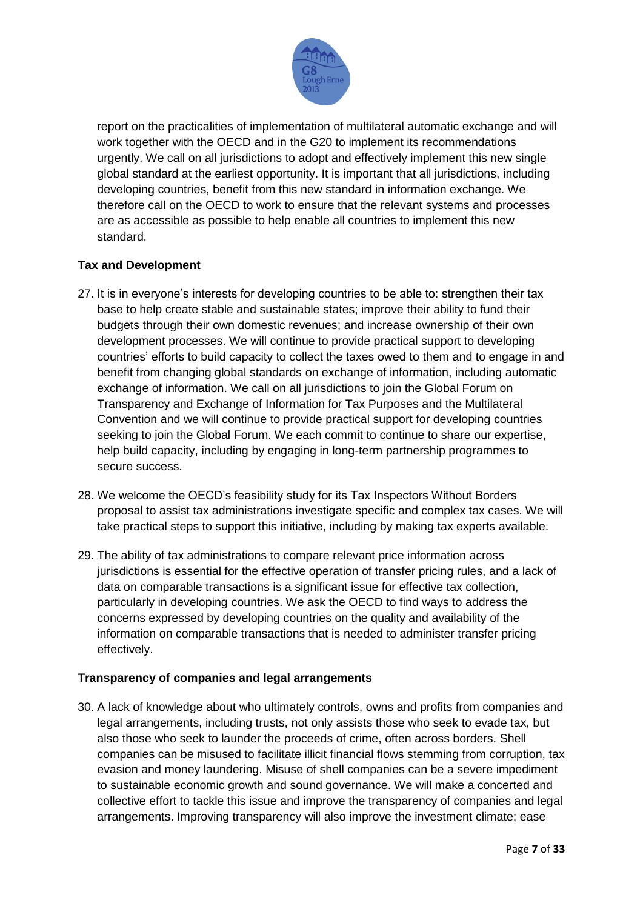

report on the practicalities of implementation of multilateral automatic exchange and will work together with the OECD and in the G20 to implement its recommendations urgently. We call on all jurisdictions to adopt and effectively implement this new single global standard at the earliest opportunity. It is important that all jurisdictions, including developing countries, benefit from this new standard in information exchange. We therefore call on the OECD to work to ensure that the relevant systems and processes are as accessible as possible to help enable all countries to implement this new standard.

# **Tax and Development**

- 27. It is in everyone's interests for developing countries to be able to: strengthen their tax base to help create stable and sustainable states; improve their ability to fund their budgets through their own domestic revenues; and increase ownership of their own development processes. We will continue to provide practical support to developing countries' efforts to build capacity to collect the taxes owed to them and to engage in and benefit from changing global standards on exchange of information, including automatic exchange of information. We call on all jurisdictions to join the Global Forum on Transparency and Exchange of Information for Tax Purposes and the Multilateral Convention and we will continue to provide practical support for developing countries seeking to join the Global Forum. We each commit to continue to share our expertise, help build capacity, including by engaging in long-term partnership programmes to secure success.
- 28. We welcome the OECD's feasibility study for its Tax Inspectors Without Borders proposal to assist tax administrations investigate specific and complex tax cases. We will take practical steps to support this initiative, including by making tax experts available.
- 29. The ability of tax administrations to compare relevant price information across jurisdictions is essential for the effective operation of transfer pricing rules, and a lack of data on comparable transactions is a significant issue for effective tax collection, particularly in developing countries. We ask the OECD to find ways to address the concerns expressed by developing countries on the quality and availability of the information on comparable transactions that is needed to administer transfer pricing effectively.

# **Transparency of companies and legal arrangements**

30. A lack of knowledge about who ultimately controls, owns and profits from companies and legal arrangements, including trusts, not only assists those who seek to evade tax, but also those who seek to launder the proceeds of crime, often across borders. Shell companies can be misused to facilitate illicit financial flows stemming from corruption, tax evasion and money laundering. Misuse of shell companies can be a severe impediment to sustainable economic growth and sound governance. We will make a concerted and collective effort to tackle this issue and improve the transparency of companies and legal arrangements. Improving transparency will also improve the investment climate; ease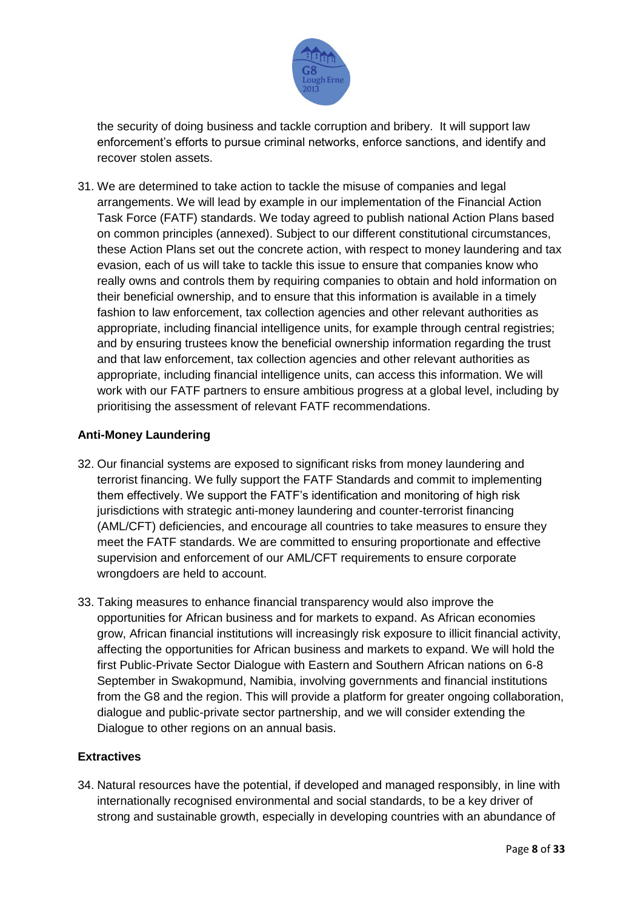

the security of doing business and tackle corruption and bribery. It will support law enforcement's efforts to pursue criminal networks, enforce sanctions, and identify and recover stolen assets.

31. We are determined to take action to tackle the misuse of companies and legal arrangements. We will lead by example in our implementation of the Financial Action Task Force (FATF) standards. We today agreed to publish national Action Plans based on common principles (annexed). Subject to our different constitutional circumstances, these Action Plans set out the concrete action, with respect to money laundering and tax evasion, each of us will take to tackle this issue to ensure that companies know who really owns and controls them by requiring companies to obtain and hold information on their beneficial ownership, and to ensure that this information is available in a timely fashion to law enforcement, tax collection agencies and other relevant authorities as appropriate, including financial intelligence units, for example through central registries; and by ensuring trustees know the beneficial ownership information regarding the trust and that law enforcement, tax collection agencies and other relevant authorities as appropriate, including financial intelligence units, can access this information. We will work with our FATF partners to ensure ambitious progress at a global level, including by prioritising the assessment of relevant FATF recommendations.

## **Anti-Money Laundering**

- 32. Our financial systems are exposed to significant risks from money laundering and terrorist financing. We fully support the FATF Standards and commit to implementing them effectively. We support the FATF's identification and monitoring of high risk jurisdictions with strategic anti-money laundering and counter-terrorist financing (AML/CFT) deficiencies, and encourage all countries to take measures to ensure they meet the FATF standards. We are committed to ensuring proportionate and effective supervision and enforcement of our AML/CFT requirements to ensure corporate wrongdoers are held to account.
- 33. Taking measures to enhance financial transparency would also improve the opportunities for African business and for markets to expand. As African economies grow, African financial institutions will increasingly risk exposure to illicit financial activity, affecting the opportunities for African business and markets to expand. We will hold the first Public-Private Sector Dialogue with Eastern and Southern African nations on 6-8 September in Swakopmund, Namibia, involving governments and financial institutions from the G8 and the region. This will provide a platform for greater ongoing collaboration, dialogue and public-private sector partnership, and we will consider extending the Dialogue to other regions on an annual basis.

# **Extractives**

34. Natural resources have the potential, if developed and managed responsibly, in line with internationally recognised environmental and social standards, to be a key driver of strong and sustainable growth, especially in developing countries with an abundance of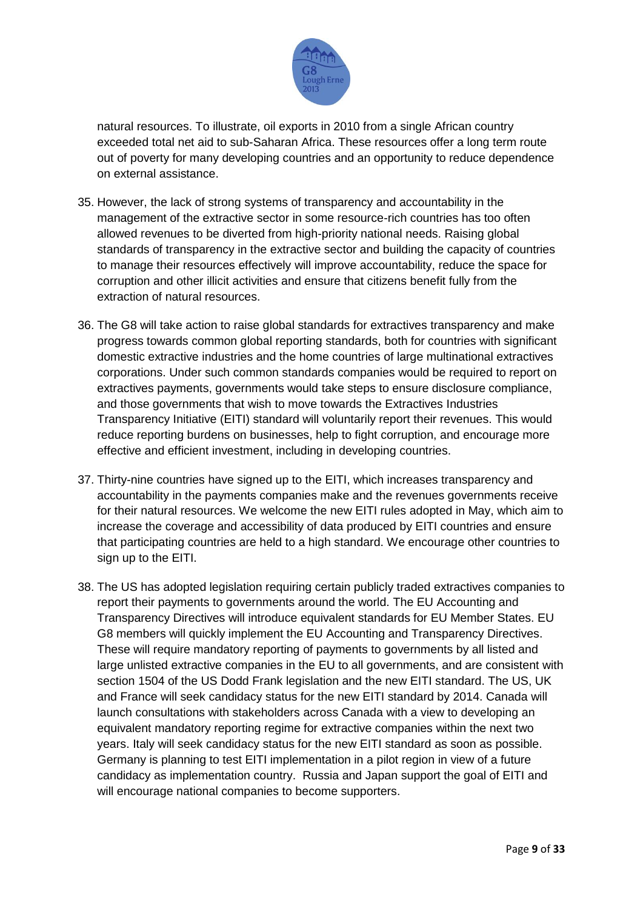

natural resources. To illustrate, oil exports in 2010 from a single African country exceeded total net aid to sub-Saharan Africa. These resources offer a long term route out of poverty for many developing countries and an opportunity to reduce dependence on external assistance.

- 35. However, the lack of strong systems of transparency and accountability in the management of the extractive sector in some resource-rich countries has too often allowed revenues to be diverted from high-priority national needs. Raising global standards of transparency in the extractive sector and building the capacity of countries to manage their resources effectively will improve accountability, reduce the space for corruption and other illicit activities and ensure that citizens benefit fully from the extraction of natural resources.
- 36. The G8 will take action to raise global standards for extractives transparency and make progress towards common global reporting standards, both for countries with significant domestic extractive industries and the home countries of large multinational extractives corporations. Under such common standards companies would be required to report on extractives payments, governments would take steps to ensure disclosure compliance, and those governments that wish to move towards the Extractives Industries Transparency Initiative (EITI) standard will voluntarily report their revenues. This would reduce reporting burdens on businesses, help to fight corruption, and encourage more effective and efficient investment, including in developing countries.
- 37. Thirty-nine countries have signed up to the EITI, which increases transparency and accountability in the payments companies make and the revenues governments receive for their natural resources. We welcome the new EITI rules adopted in May, which aim to increase the coverage and accessibility of data produced by EITI countries and ensure that participating countries are held to a high standard. We encourage other countries to sign up to the EITI.
- 38. The US has adopted legislation requiring certain publicly traded extractives companies to report their payments to governments around the world. The EU Accounting and Transparency Directives will introduce equivalent standards for EU Member States. EU G8 members will quickly implement the EU Accounting and Transparency Directives. These will require mandatory reporting of payments to governments by all listed and large unlisted extractive companies in the EU to all governments, and are consistent with section 1504 of the US Dodd Frank legislation and the new EITI standard. The US, UK and France will seek candidacy status for the new EITI standard by 2014. Canada will launch consultations with stakeholders across Canada with a view to developing an equivalent mandatory reporting regime for extractive companies within the next two years. Italy will seek candidacy status for the new EITI standard as soon as possible. Germany is planning to test EITI implementation in a pilot region in view of a future candidacy as implementation country. Russia and Japan support the goal of EITI and will encourage national companies to become supporters.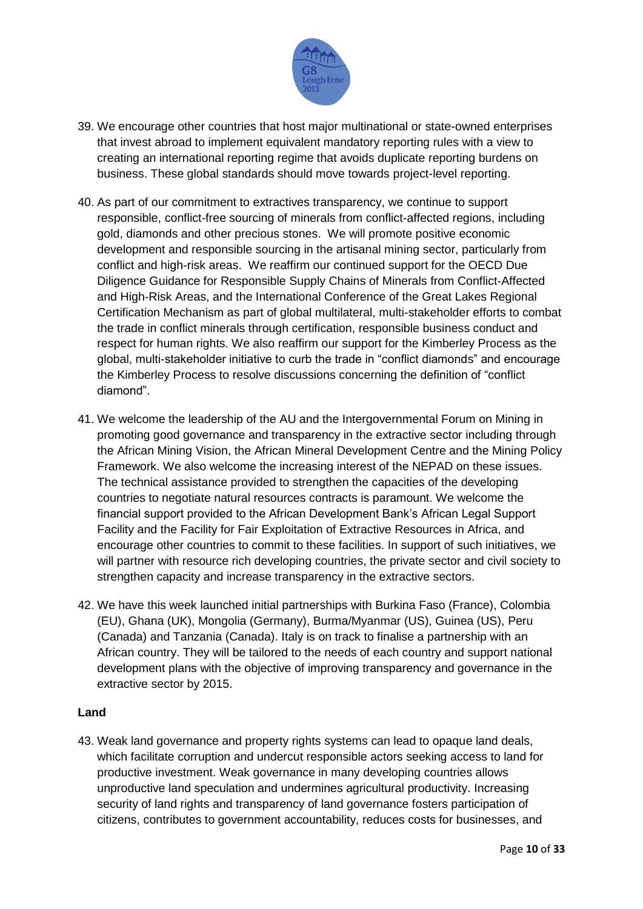

- 39. We encourage other countries that host major multinational or state-owned enterprises that invest abroad to implement equivalent mandatory reporting rules with a view to creating an international reporting regime that avoids duplicate reporting burdens on business. These global standards should move towards project-level reporting.
- 40. As part of our commitment to extractives transparency, we continue to support responsible, conflict-free sourcing of minerals from conflict-affected regions, including gold, diamonds and other precious stones. We will promote positive economic development and responsible sourcing in the artisanal mining sector, particularly from conflict and high-risk areas. We reaffirm our continued support for the OECD Due Diligence Guidance for Responsible Supply Chains of Minerals from Conflict-Affected and High-Risk Areas, and the International Conference of the Great Lakes Regional Certification Mechanism as part of global multilateral, multi-stakeholder efforts to combat the trade in conflict minerals through certification, responsible business conduct and respect for human rights. We also reaffirm our support for the Kimberley Process as the global, multi-stakeholder initiative to curb the trade in "conflict diamonds" and encourage the Kimberley Process to resolve discussions concerning the definition of "conflict diamond".
- 41. We welcome the leadership of the AU and the Intergovernmental Forum on Mining in promoting good governance and transparency in the extractive sector including through the African Mining Vision, the African Mineral Development Centre and the Mining Policy Framework. We also welcome the increasing interest of the NEPAD on these issues. The technical assistance provided to strengthen the capacities of the developing countries to negotiate natural resources contracts is paramount. We welcome the financial support provided to the African Development Bank's African Legal Support Facility and the Facility for Fair Exploitation of Extractive Resources in Africa, and encourage other countries to commit to these facilities. In support of such initiatives, we will partner with resource rich developing countries, the private sector and civil society to strengthen capacity and increase transparency in the extractive sectors.
- 42. We have this week launched initial partnerships with Burkina Faso (France), Colombia (EU), Ghana (UK), Mongolia (Germany), Burma/Myanmar (US), Guinea (US), Peru (Canada) and Tanzania (Canada). Italy is on track to finalise a partnership with an African country. They will be tailored to the needs of each country and support national development plans with the objective of improving transparency and governance in the extractive sector by 2015.

#### **Land**

43. Weak land governance and property rights systems can lead to opaque land deals, which facilitate corruption and undercut responsible actors seeking access to land for productive investment. Weak governance in many developing countries allows unproductive land speculation and undermines agricultural productivity. Increasing security of land rights and transparency of land governance fosters participation of citizens, contributes to government accountability, reduces costs for businesses, and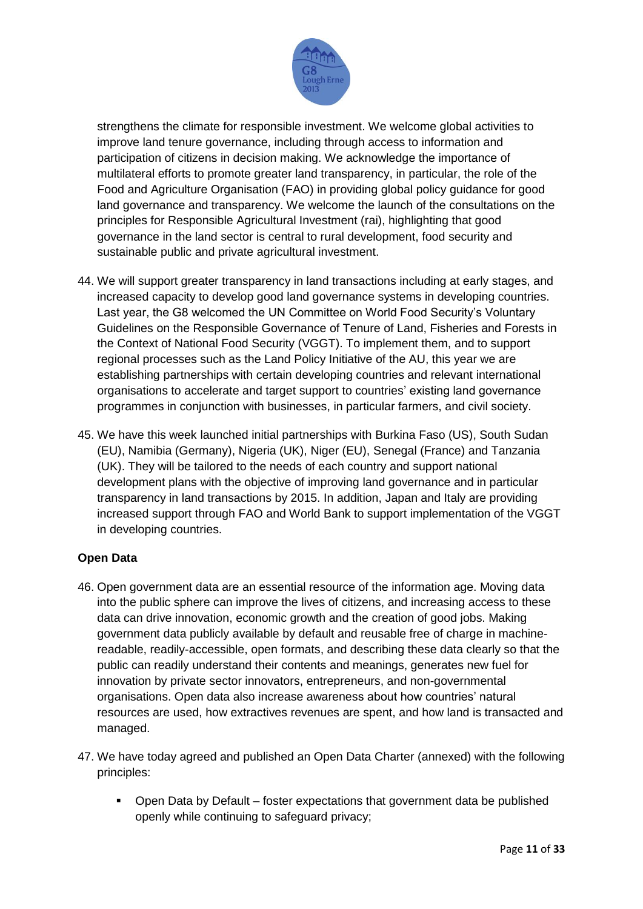

strengthens the climate for responsible investment. We welcome global activities to improve land tenure governance, including through access to information and participation of citizens in decision making. We acknowledge the importance of multilateral efforts to promote greater land transparency, in particular, the role of the Food and Agriculture Organisation (FAO) in providing global policy guidance for good land governance and transparency. We welcome the launch of the consultations on the principles for Responsible Agricultural Investment (rai), highlighting that good governance in the land sector is central to rural development, food security and sustainable public and private agricultural investment.

- 44. We will support greater transparency in land transactions including at early stages, and increased capacity to develop good land governance systems in developing countries. Last year, the G8 welcomed the UN Committee on World Food Security's Voluntary Guidelines on the Responsible Governance of Tenure of Land, Fisheries and Forests in the Context of National Food Security (VGGT). To implement them, and to support regional processes such as the Land Policy Initiative of the AU, this year we are establishing partnerships with certain developing countries and relevant international organisations to accelerate and target support to countries' existing land governance programmes in conjunction with businesses, in particular farmers, and civil society.
- 45. We have this week launched initial partnerships with Burkina Faso (US), South Sudan (EU), Namibia (Germany), Nigeria (UK), Niger (EU), Senegal (France) and Tanzania (UK). They will be tailored to the needs of each country and support national development plans with the objective of improving land governance and in particular transparency in land transactions by 2015. In addition, Japan and Italy are providing increased support through FAO and World Bank to support implementation of the VGGT in developing countries.

# **Open Data**

- 46. Open government data are an essential resource of the information age. Moving data into the public sphere can improve the lives of citizens, and increasing access to these data can drive innovation, economic growth and the creation of good jobs. Making government data publicly available by default and reusable free of charge in machinereadable, readily-accessible, open formats, and describing these data clearly so that the public can readily understand their contents and meanings, generates new fuel for innovation by private sector innovators, entrepreneurs, and non-governmental organisations. Open data also increase awareness about how countries' natural resources are used, how extractives revenues are spent, and how land is transacted and managed.
- 47. We have today agreed and published an Open Data Charter (annexed) with the following principles:
	- Open Data by Default foster expectations that government data be published openly while continuing to safeguard privacy;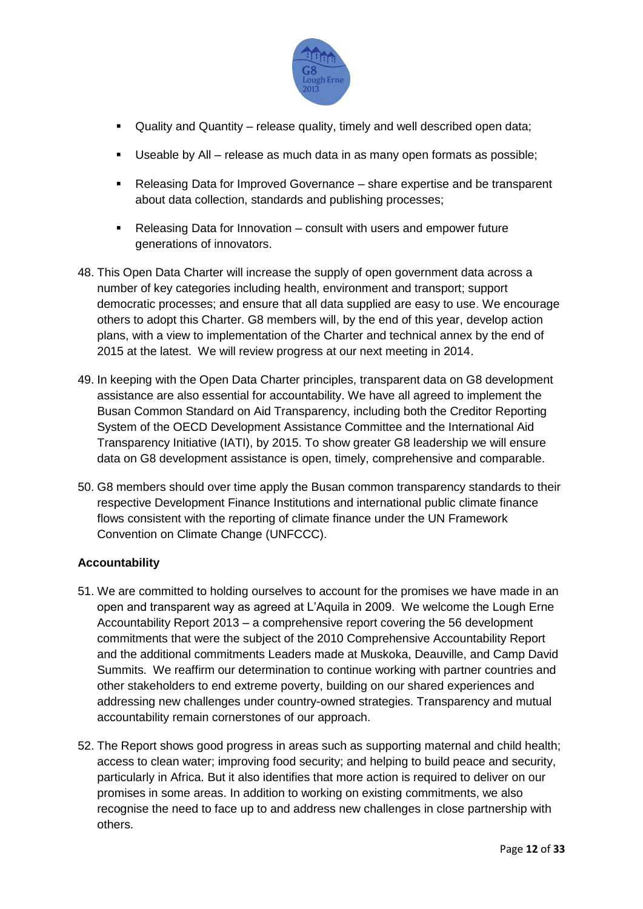

- Quality and Quantity release quality, timely and well described open data;
- Useable by All release as much data in as many open formats as possible;
- Releasing Data for Improved Governance share expertise and be transparent about data collection, standards and publishing processes;
- Releasing Data for Innovation consult with users and empower future generations of innovators.
- 48. This Open Data Charter will increase the supply of open government data across a number of key categories including health, environment and transport; support democratic processes; and ensure that all data supplied are easy to use. We encourage others to adopt this Charter. G8 members will, by the end of this year, develop action plans, with a view to implementation of the Charter and technical annex by the end of 2015 at the latest. We will review progress at our next meeting in 2014.
- 49. In keeping with the Open Data Charter principles, transparent data on G8 development assistance are also essential for accountability. We have all agreed to implement the Busan Common Standard on Aid Transparency, including both the Creditor Reporting System of the OECD Development Assistance Committee and the International Aid Transparency Initiative (IATI), by 2015. To show greater G8 leadership we will ensure data on G8 development assistance is open, timely, comprehensive and comparable.
- 50. G8 members should over time apply the Busan common transparency standards to their respective Development Finance Institutions and international public climate finance flows consistent with the reporting of climate finance under the UN Framework Convention on Climate Change (UNFCCC).

# **Accountability**

- 51. We are committed to holding ourselves to account for the promises we have made in an open and transparent way as agreed at L'Aquila in 2009. We welcome the Lough Erne Accountability Report 2013 – a comprehensive report covering the 56 development commitments that were the subject of the 2010 Comprehensive Accountability Report and the additional commitments Leaders made at Muskoka, Deauville, and Camp David Summits. We reaffirm our determination to continue working with partner countries and other stakeholders to end extreme poverty, building on our shared experiences and addressing new challenges under country-owned strategies. Transparency and mutual accountability remain cornerstones of our approach.
- 52. The Report shows good progress in areas such as supporting maternal and child health; access to clean water; improving food security; and helping to build peace and security, particularly in Africa. But it also identifies that more action is required to deliver on our promises in some areas. In addition to working on existing commitments, we also recognise the need to face up to and address new challenges in close partnership with others.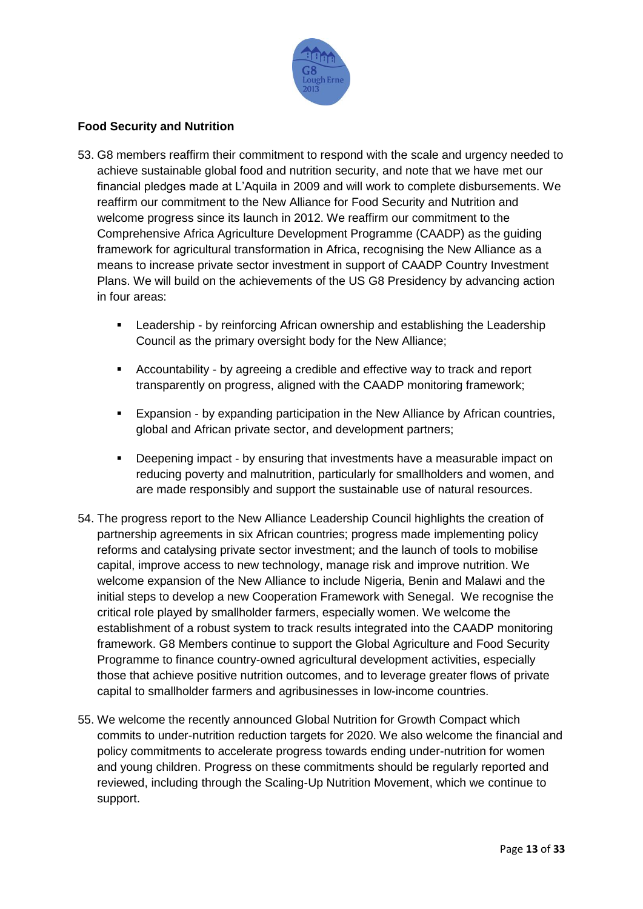

# **Food Security and Nutrition**

- 53. G8 members reaffirm their commitment to respond with the scale and urgency needed to achieve sustainable global food and nutrition security, and note that we have met our financial pledges made at L'Aquila in 2009 and will work to complete disbursements. We reaffirm our commitment to the New Alliance for Food Security and Nutrition and welcome progress since its launch in 2012. We reaffirm our commitment to the Comprehensive Africa Agriculture Development Programme (CAADP) as the guiding framework for agricultural transformation in Africa, recognising the New Alliance as a means to increase private sector investment in support of CAADP Country Investment Plans. We will build on the achievements of the US G8 Presidency by advancing action in four areas:
	- Leadership by reinforcing African ownership and establishing the Leadership Council as the primary oversight body for the New Alliance;
	- Accountability by agreeing a credible and effective way to track and report transparently on progress, aligned with the CAADP monitoring framework;
	- **Expansion by expanding participation in the New Alliance by African countries,** global and African private sector, and development partners;
	- Deepening impact by ensuring that investments have a measurable impact on reducing poverty and malnutrition, particularly for smallholders and women, and are made responsibly and support the sustainable use of natural resources.
- 54. The progress report to the New Alliance Leadership Council highlights the creation of partnership agreements in six African countries; progress made implementing policy reforms and catalysing private sector investment; and the launch of tools to mobilise capital, improve access to new technology, manage risk and improve nutrition. We welcome expansion of the New Alliance to include Nigeria, Benin and Malawi and the initial steps to develop a new Cooperation Framework with Senegal. We recognise the critical role played by smallholder farmers, especially women. We welcome the establishment of a robust system to track results integrated into the CAADP monitoring framework. G8 Members continue to support the Global Agriculture and Food Security Programme to finance country-owned agricultural development activities, especially those that achieve positive nutrition outcomes, and to leverage greater flows of private capital to smallholder farmers and agribusinesses in low-income countries.
- 55. We welcome the recently announced Global Nutrition for Growth Compact which commits to under-nutrition reduction targets for 2020. We also welcome the financial and policy commitments to accelerate progress towards ending under-nutrition for women and young children. Progress on these commitments should be regularly reported and reviewed, including through the Scaling-Up Nutrition Movement, which we continue to support.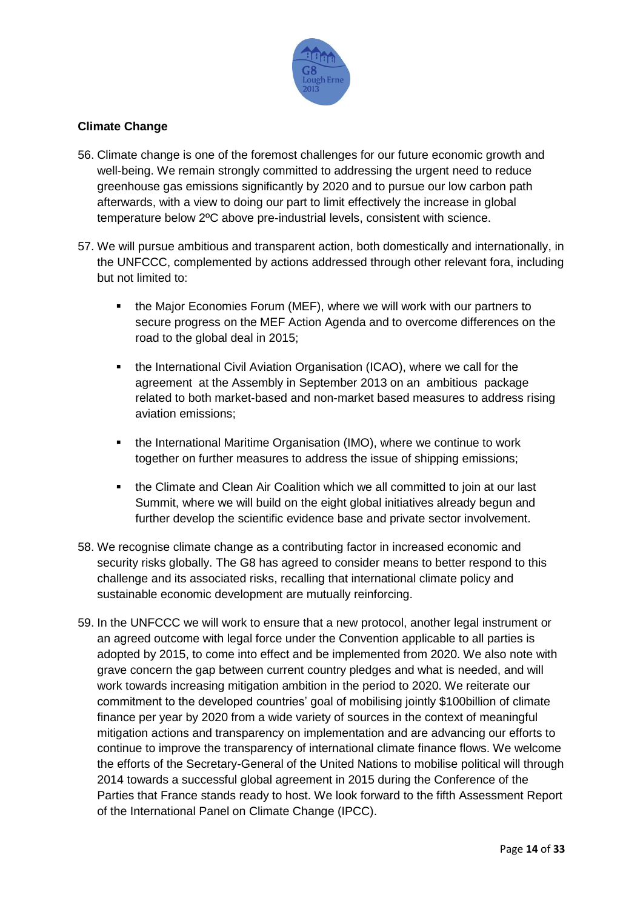

# **Climate Change**

- 56. Climate change is one of the foremost challenges for our future economic growth and well-being. We remain strongly committed to addressing the urgent need to reduce greenhouse gas emissions significantly by 2020 and to pursue our low carbon path afterwards, with a view to doing our part to limit effectively the increase in global temperature below 2ºC above pre-industrial levels, consistent with science.
- 57. We will pursue ambitious and transparent action, both domestically and internationally, in the UNFCCC, complemented by actions addressed through other relevant fora, including but not limited to:
	- **the Major Economies Forum (MEF), where we will work with our partners to** secure progress on the MEF Action Agenda and to overcome differences on the road to the global deal in 2015;
	- **the International Civil Aviation Organisation (ICAO), where we call for the** agreement at the Assembly in September 2013 on an ambitious package related to both market-based and non-market based measures to address rising aviation emissions;
	- **•** the International Maritime Organisation (IMO), where we continue to work together on further measures to address the issue of shipping emissions;
	- the Climate and Clean Air Coalition which we all committed to join at our last Summit, where we will build on the eight global initiatives already begun and further develop the scientific evidence base and private sector involvement.
- 58. We recognise climate change as a contributing factor in increased economic and security risks globally. The G8 has agreed to consider means to better respond to this challenge and its associated risks, recalling that international climate policy and sustainable economic development are mutually reinforcing.
- 59. In the UNFCCC we will work to ensure that a new protocol, another legal instrument or an agreed outcome with legal force under the Convention applicable to all parties is adopted by 2015, to come into effect and be implemented from 2020. We also note with grave concern the gap between current country pledges and what is needed, and will work towards increasing mitigation ambition in the period to 2020. We reiterate our commitment to the developed countries' goal of mobilising jointly \$100billion of climate finance per year by 2020 from a wide variety of sources in the context of meaningful mitigation actions and transparency on implementation and are advancing our efforts to continue to improve the transparency of international climate finance flows. We welcome the efforts of the Secretary-General of the United Nations to mobilise political will through 2014 towards a successful global agreement in 2015 during the Conference of the Parties that France stands ready to host. We look forward to the fifth Assessment Report of the International Panel on Climate Change (IPCC).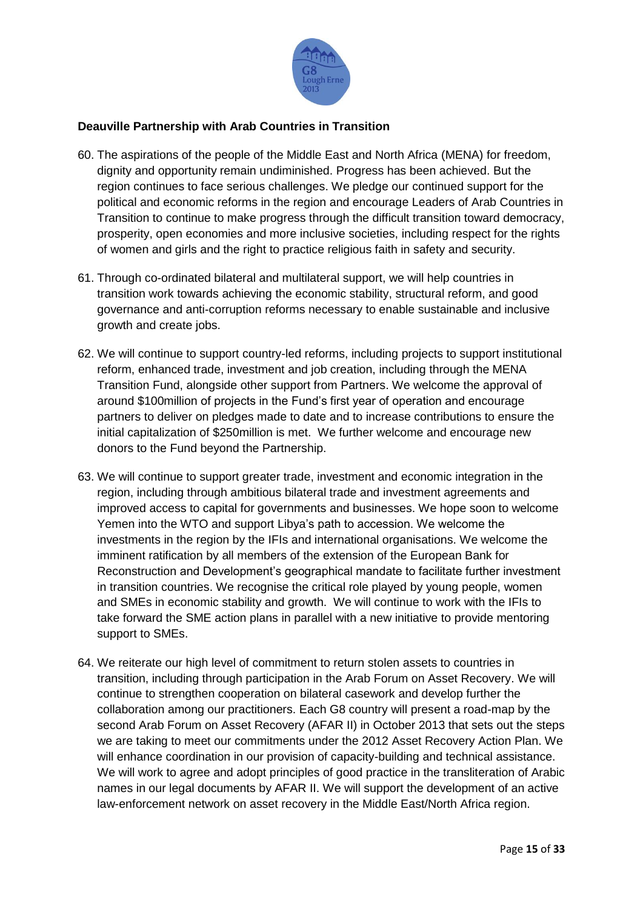

# **Deauville Partnership with Arab Countries in Transition**

- 60. The aspirations of the people of the Middle East and North Africa (MENA) for freedom, dignity and opportunity remain undiminished. Progress has been achieved. But the region continues to face serious challenges. We pledge our continued support for the political and economic reforms in the region and encourage Leaders of Arab Countries in Transition to continue to make progress through the difficult transition toward democracy, prosperity, open economies and more inclusive societies, including respect for the rights of women and girls and the right to practice religious faith in safety and security.
- 61. Through co-ordinated bilateral and multilateral support, we will help countries in transition work towards achieving the economic stability, structural reform, and good governance and anti-corruption reforms necessary to enable sustainable and inclusive growth and create jobs.
- 62. We will continue to support country-led reforms, including projects to support institutional reform, enhanced trade, investment and job creation, including through the MENA Transition Fund, alongside other support from Partners. We welcome the approval of around \$100million of projects in the Fund's first year of operation and encourage partners to deliver on pledges made to date and to increase contributions to ensure the initial capitalization of \$250million is met. We further welcome and encourage new donors to the Fund beyond the Partnership.
- 63. We will continue to support greater trade, investment and economic integration in the region, including through ambitious bilateral trade and investment agreements and improved access to capital for governments and businesses. We hope soon to welcome Yemen into the WTO and support Libya's path to accession. We welcome the investments in the region by the IFIs and international organisations. We welcome the imminent ratification by all members of the extension of the European Bank for Reconstruction and Development's geographical mandate to facilitate further investment in transition countries. We recognise the critical role played by young people, women and SMEs in economic stability and growth. We will continue to work with the IFIs to take forward the SME action plans in parallel with a new initiative to provide mentoring support to SMEs.
- 64. We reiterate our high level of commitment to return stolen assets to countries in transition, including through participation in the Arab Forum on Asset Recovery. We will continue to strengthen cooperation on bilateral casework and develop further the collaboration among our practitioners. Each G8 country will present a road-map by the second Arab Forum on Asset Recovery (AFAR II) in October 2013 that sets out the steps we are taking to meet our commitments under the 2012 Asset Recovery Action Plan. We will enhance coordination in our provision of capacity-building and technical assistance. We will work to agree and adopt principles of good practice in the transliteration of Arabic names in our legal documents by AFAR II. We will support the development of an active law-enforcement network on asset recovery in the Middle East/North Africa region.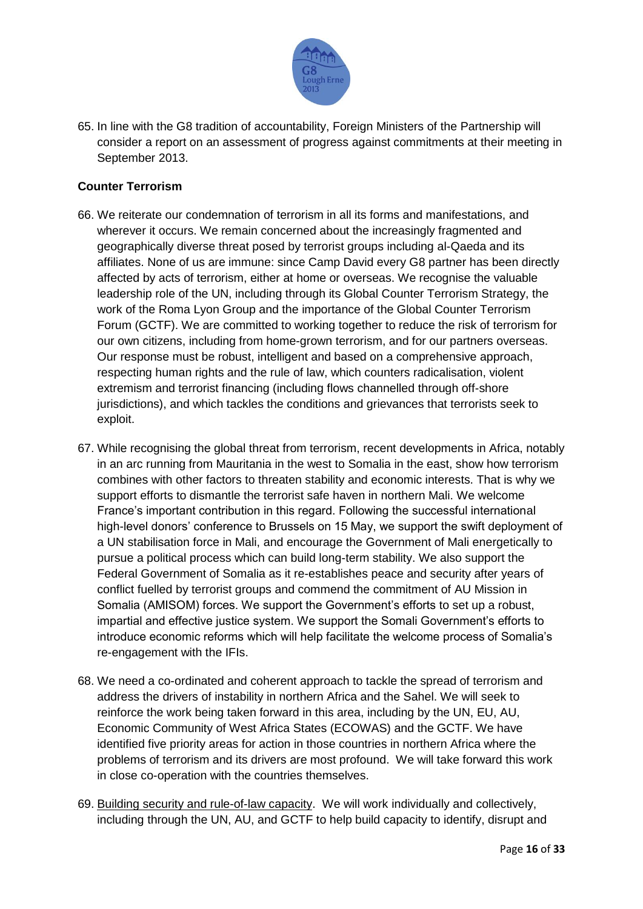

65. In line with the G8 tradition of accountability, Foreign Ministers of the Partnership will consider a report on an assessment of progress against commitments at their meeting in September 2013.

# **Counter Terrorism**

- 66. We reiterate our condemnation of terrorism in all its forms and manifestations, and wherever it occurs. We remain concerned about the increasingly fragmented and geographically diverse threat posed by terrorist groups including al-Qaeda and its affiliates. None of us are immune: since Camp David every G8 partner has been directly affected by acts of terrorism, either at home or overseas. We recognise the valuable leadership role of the UN, including through its Global Counter Terrorism Strategy, the work of the Roma Lyon Group and the importance of the Global Counter Terrorism Forum (GCTF). We are committed to working together to reduce the risk of terrorism for our own citizens, including from home-grown terrorism, and for our partners overseas. Our response must be robust, intelligent and based on a comprehensive approach, respecting human rights and the rule of law, which counters radicalisation, violent extremism and terrorist financing (including flows channelled through off-shore jurisdictions), and which tackles the conditions and grievances that terrorists seek to exploit.
- 67. While recognising the global threat from terrorism, recent developments in Africa, notably in an arc running from Mauritania in the west to Somalia in the east, show how terrorism combines with other factors to threaten stability and economic interests. That is why we support efforts to dismantle the terrorist safe haven in northern Mali. We welcome France's important contribution in this regard. Following the successful international high-level donors' conference to Brussels on 15 May, we support the swift deployment of a UN stabilisation force in Mali, and encourage the Government of Mali energetically to pursue a political process which can build long-term stability. We also support the Federal Government of Somalia as it re-establishes peace and security after years of conflict fuelled by terrorist groups and commend the commitment of AU Mission in Somalia (AMISOM) forces. We support the Government's efforts to set up a robust, impartial and effective justice system. We support the Somali Government's efforts to introduce economic reforms which will help facilitate the welcome process of Somalia's re-engagement with the IFIs.
- 68. We need a co-ordinated and coherent approach to tackle the spread of terrorism and address the drivers of instability in northern Africa and the Sahel. We will seek to reinforce the work being taken forward in this area, including by the UN, EU, AU, Economic Community of West Africa States (ECOWAS) and the GCTF. We have identified five priority areas for action in those countries in northern Africa where the problems of terrorism and its drivers are most profound. We will take forward this work in close co-operation with the countries themselves.
- 69. Building security and rule-of-law capacity. We will work individually and collectively, including through the UN, AU, and GCTF to help build capacity to identify, disrupt and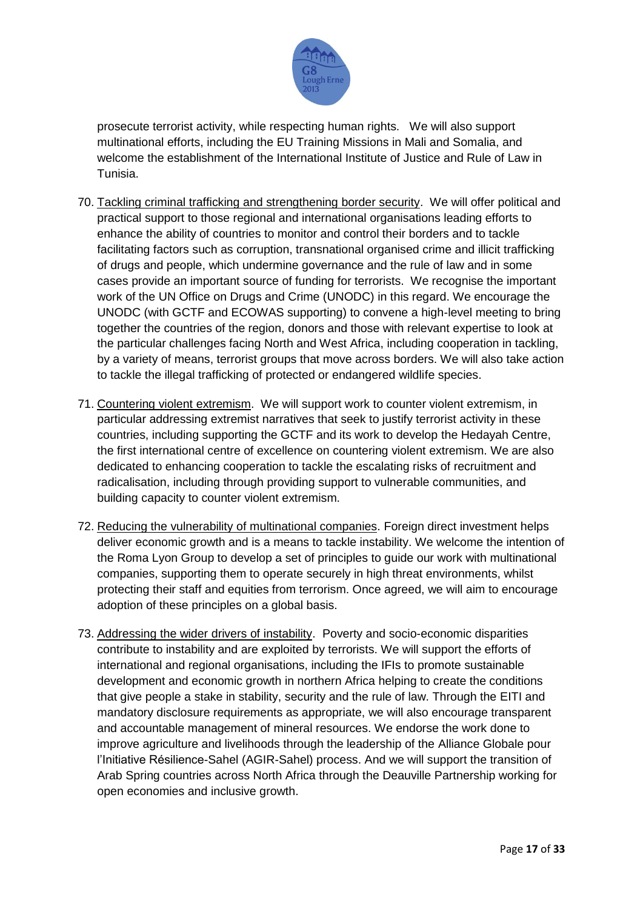

prosecute terrorist activity, while respecting human rights. We will also support multinational efforts, including the EU Training Missions in Mali and Somalia, and welcome the establishment of the International Institute of Justice and Rule of Law in Tunisia.

- 70. Tackling criminal trafficking and strengthening border security. We will offer political and practical support to those regional and international organisations leading efforts to enhance the ability of countries to monitor and control their borders and to tackle facilitating factors such as corruption, transnational organised crime and illicit trafficking of drugs and people, which undermine governance and the rule of law and in some cases provide an important source of funding for terrorists. We recognise the important work of the UN Office on Drugs and Crime (UNODC) in this regard. We encourage the UNODC (with GCTF and ECOWAS supporting) to convene a high-level meeting to bring together the countries of the region, donors and those with relevant expertise to look at the particular challenges facing North and West Africa, including cooperation in tackling, by a variety of means, terrorist groups that move across borders. We will also take action to tackle the illegal trafficking of protected or endangered wildlife species.
- 71. Countering violent extremism. We will support work to counter violent extremism, in particular addressing extremist narratives that seek to justify terrorist activity in these countries, including supporting the GCTF and its work to develop the Hedayah Centre, the first international centre of excellence on countering violent extremism. We are also dedicated to enhancing cooperation to tackle the escalating risks of recruitment and radicalisation, including through providing support to vulnerable communities, and building capacity to counter violent extremism.
- 72. Reducing the vulnerability of multinational companies. Foreign direct investment helps deliver economic growth and is a means to tackle instability. We welcome the intention of the Roma Lyon Group to develop a set of principles to guide our work with multinational companies, supporting them to operate securely in high threat environments, whilst protecting their staff and equities from terrorism. Once agreed, we will aim to encourage adoption of these principles on a global basis.
- 73. Addressing the wider drivers of instability. Poverty and socio-economic disparities contribute to instability and are exploited by terrorists. We will support the efforts of international and regional organisations, including the IFIs to promote sustainable development and economic growth in northern Africa helping to create the conditions that give people a stake in stability, security and the rule of law. Through the EITI and mandatory disclosure requirements as appropriate, we will also encourage transparent and accountable management of mineral resources. We endorse the work done to improve agriculture and livelihoods through the leadership of the Alliance Globale pour l'Initiative Résilience-Sahel (AGIR-Sahel) process. And we will support the transition of Arab Spring countries across North Africa through the Deauville Partnership working for open economies and inclusive growth.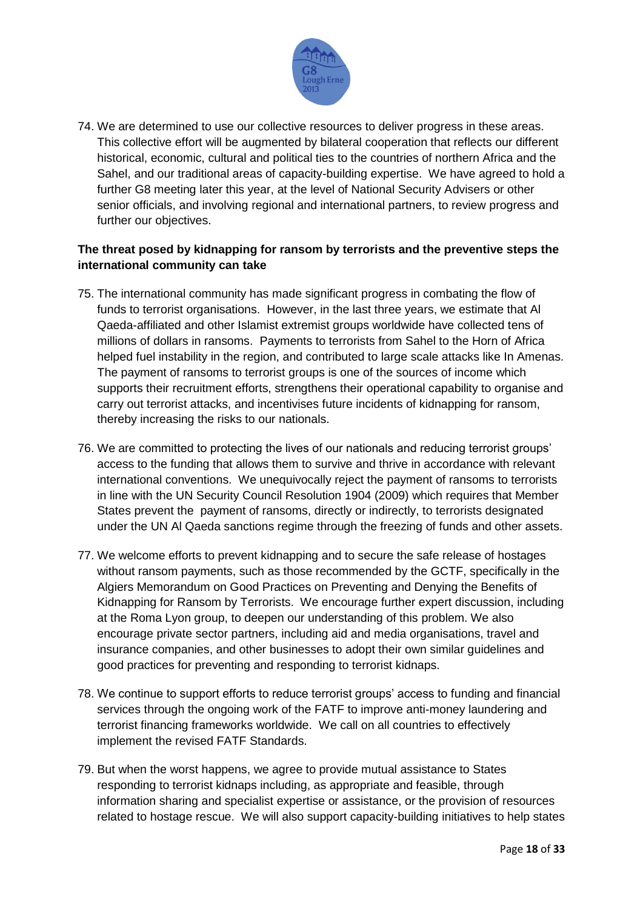

74. We are determined to use our collective resources to deliver progress in these areas. This collective effort will be augmented by bilateral cooperation that reflects our different historical, economic, cultural and political ties to the countries of northern Africa and the Sahel, and our traditional areas of capacity-building expertise. We have agreed to hold a further G8 meeting later this year, at the level of National Security Advisers or other senior officials, and involving regional and international partners, to review progress and further our objectives.

# **The threat posed by kidnapping for ransom by terrorists and the preventive steps the international community can take**

- 75. The international community has made significant progress in combating the flow of funds to terrorist organisations. However, in the last three years, we estimate that Al Qaeda-affiliated and other Islamist extremist groups worldwide have collected tens of millions of dollars in ransoms. Payments to terrorists from Sahel to the Horn of Africa helped fuel instability in the region, and contributed to large scale attacks like In Amenas. The payment of ransoms to terrorist groups is one of the sources of income which supports their recruitment efforts, strengthens their operational capability to organise and carry out terrorist attacks, and incentivises future incidents of kidnapping for ransom, thereby increasing the risks to our nationals.
- 76. We are committed to protecting the lives of our nationals and reducing terrorist groups' access to the funding that allows them to survive and thrive in accordance with relevant international conventions. We unequivocally reject the payment of ransoms to terrorists in line with the UN Security Council Resolution 1904 (2009) which requires that Member States prevent the payment of ransoms, directly or indirectly, to terrorists designated under the UN Al Qaeda sanctions regime through the freezing of funds and other assets.
- 77. We welcome efforts to prevent kidnapping and to secure the safe release of hostages without ransom payments, such as those recommended by the GCTF, specifically in the Algiers Memorandum on Good Practices on Preventing and Denying the Benefits of Kidnapping for Ransom by Terrorists. We encourage further expert discussion, including at the Roma Lyon group, to deepen our understanding of this problem. We also encourage private sector partners, including aid and media organisations, travel and insurance companies, and other businesses to adopt their own similar guidelines and good practices for preventing and responding to terrorist kidnaps.
- 78. We continue to support efforts to reduce terrorist groups' access to funding and financial services through the ongoing work of the FATF to improve anti-money laundering and terrorist financing frameworks worldwide. We call on all countries to effectively implement the revised FATF Standards.
- 79. But when the worst happens, we agree to provide mutual assistance to States responding to terrorist kidnaps including, as appropriate and feasible, through information sharing and specialist expertise or assistance, or the provision of resources related to hostage rescue. We will also support capacity-building initiatives to help states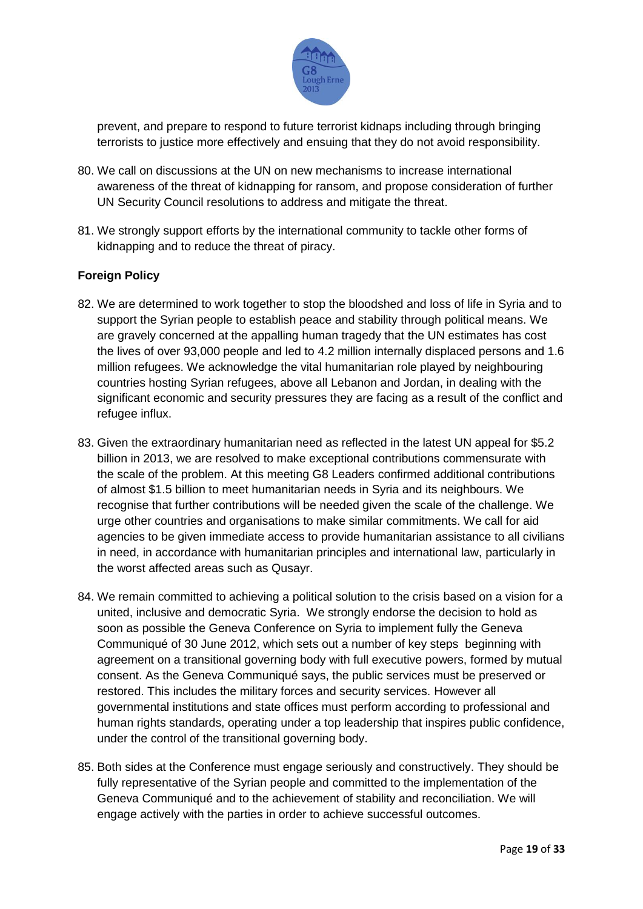

prevent, and prepare to respond to future terrorist kidnaps including through bringing terrorists to justice more effectively and ensuing that they do not avoid responsibility.

- 80. We call on discussions at the UN on new mechanisms to increase international awareness of the threat of kidnapping for ransom, and propose consideration of further UN Security Council resolutions to address and mitigate the threat.
- 81. We strongly support efforts by the international community to tackle other forms of kidnapping and to reduce the threat of piracy.

## **Foreign Policy**

- 82. We are determined to work together to stop the bloodshed and loss of life in Syria and to support the Syrian people to establish peace and stability through political means. We are gravely concerned at the appalling human tragedy that the UN estimates has cost the lives of over 93,000 people and led to 4.2 million internally displaced persons and 1.6 million refugees. We acknowledge the vital humanitarian role played by neighbouring countries hosting Syrian refugees, above all Lebanon and Jordan, in dealing with the significant economic and security pressures they are facing as a result of the conflict and refugee influx.
- 83. Given the extraordinary humanitarian need as reflected in the latest UN appeal for \$5.2 billion in 2013, we are resolved to make exceptional contributions commensurate with the scale of the problem. At this meeting G8 Leaders confirmed additional contributions of almost \$1.5 billion to meet humanitarian needs in Syria and its neighbours. We recognise that further contributions will be needed given the scale of the challenge. We urge other countries and organisations to make similar commitments. We call for aid agencies to be given immediate access to provide humanitarian assistance to all civilians in need, in accordance with humanitarian principles and international law, particularly in the worst affected areas such as Qusayr.
- 84. We remain committed to achieving a political solution to the crisis based on a vision for a united, inclusive and democratic Syria. We strongly endorse the decision to hold as soon as possible the Geneva Conference on Syria to implement fully the Geneva Communiqué of 30 June 2012, which sets out a number of key steps beginning with agreement on a transitional governing body with full executive powers, formed by mutual consent. As the Geneva Communiqué says, the public services must be preserved or restored. This includes the military forces and security services. However all governmental institutions and state offices must perform according to professional and human rights standards, operating under a top leadership that inspires public confidence, under the control of the transitional governing body.
- 85. Both sides at the Conference must engage seriously and constructively. They should be fully representative of the Syrian people and committed to the implementation of the Geneva Communiqué and to the achievement of stability and reconciliation. We will engage actively with the parties in order to achieve successful outcomes.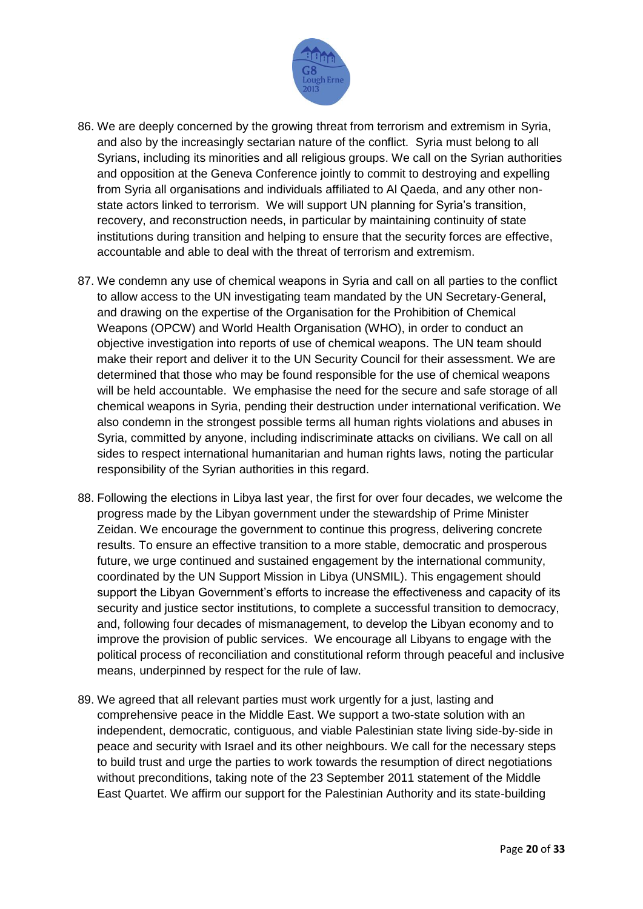

- 86. We are deeply concerned by the growing threat from terrorism and extremism in Syria, and also by the increasingly sectarian nature of the conflict. Syria must belong to all Syrians, including its minorities and all religious groups. We call on the Syrian authorities and opposition at the Geneva Conference jointly to commit to destroying and expelling from Syria all organisations and individuals affiliated to Al Qaeda, and any other nonstate actors linked to terrorism. We will support UN planning for Syria's transition, recovery, and reconstruction needs, in particular by maintaining continuity of state institutions during transition and helping to ensure that the security forces are effective, accountable and able to deal with the threat of terrorism and extremism.
- 87. We condemn any use of chemical weapons in Syria and call on all parties to the conflict to allow access to the UN investigating team mandated by the UN Secretary-General, and drawing on the expertise of the Organisation for the Prohibition of Chemical Weapons (OPCW) and World Health Organisation (WHO), in order to conduct an objective investigation into reports of use of chemical weapons. The UN team should make their report and deliver it to the UN Security Council for their assessment. We are determined that those who may be found responsible for the use of chemical weapons will be held accountable. We emphasise the need for the secure and safe storage of all chemical weapons in Syria, pending their destruction under international verification. We also condemn in the strongest possible terms all human rights violations and abuses in Syria, committed by anyone, including indiscriminate attacks on civilians. We call on all sides to respect international humanitarian and human rights laws, noting the particular responsibility of the Syrian authorities in this regard.
- 88. Following the elections in Libya last year, the first for over four decades, we welcome the progress made by the Libyan government under the stewardship of Prime Minister Zeidan. We encourage the government to continue this progress, delivering concrete results. To ensure an effective transition to a more stable, democratic and prosperous future, we urge continued and sustained engagement by the international community, coordinated by the UN Support Mission in Libya (UNSMIL). This engagement should support the Libyan Government's efforts to increase the effectiveness and capacity of its security and justice sector institutions, to complete a successful transition to democracy, and, following four decades of mismanagement, to develop the Libyan economy and to improve the provision of public services. We encourage all Libyans to engage with the political process of reconciliation and constitutional reform through peaceful and inclusive means, underpinned by respect for the rule of law.
- 89. We agreed that all relevant parties must work urgently for a just, lasting and comprehensive peace in the Middle East. We support a two-state solution with an independent, democratic, contiguous, and viable Palestinian state living side-by-side in peace and security with Israel and its other neighbours. We call for the necessary steps to build trust and urge the parties to work towards the resumption of direct negotiations without preconditions, taking note of the 23 September 2011 statement of the Middle East Quartet. We affirm our support for the Palestinian Authority and its state-building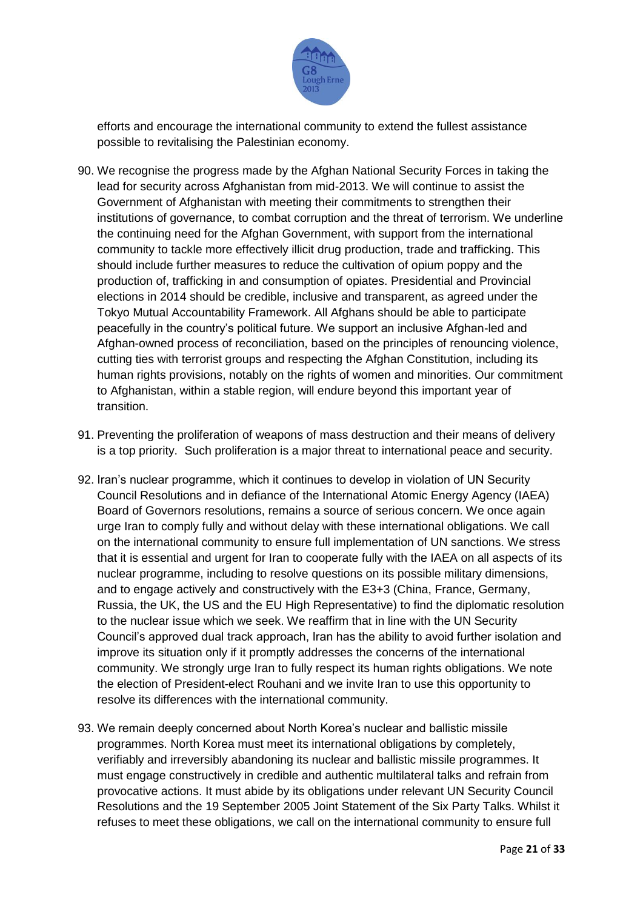

efforts and encourage the international community to extend the fullest assistance possible to revitalising the Palestinian economy.

- 90. We recognise the progress made by the Afghan National Security Forces in taking the lead for security across Afghanistan from mid-2013. We will continue to assist the Government of Afghanistan with meeting their commitments to strengthen their institutions of governance, to combat corruption and the threat of terrorism. We underline the continuing need for the Afghan Government, with support from the international community to tackle more effectively illicit drug production, trade and trafficking. This should include further measures to reduce the cultivation of opium poppy and the production of, trafficking in and consumption of opiates. Presidential and Provincial elections in 2014 should be credible, inclusive and transparent, as agreed under the Tokyo Mutual Accountability Framework. All Afghans should be able to participate peacefully in the country's political future. We support an inclusive Afghan-led and Afghan-owned process of reconciliation, based on the principles of renouncing violence, cutting ties with terrorist groups and respecting the Afghan Constitution, including its human rights provisions, notably on the rights of women and minorities. Our commitment to Afghanistan, within a stable region, will endure beyond this important year of transition.
- 91. Preventing the proliferation of weapons of mass destruction and their means of delivery is a top priority. Such proliferation is a major threat to international peace and security.
- 92. Iran's nuclear programme, which it continues to develop in violation of UN Security Council Resolutions and in defiance of the International Atomic Energy Agency (IAEA) Board of Governors resolutions, remains a source of serious concern. We once again urge Iran to comply fully and without delay with these international obligations. We call on the international community to ensure full implementation of UN sanctions. We stress that it is essential and urgent for Iran to cooperate fully with the IAEA on all aspects of its nuclear programme, including to resolve questions on its possible military dimensions, and to engage actively and constructively with the E3+3 (China, France, Germany, Russia, the UK, the US and the EU High Representative) to find the diplomatic resolution to the nuclear issue which we seek. We reaffirm that in line with the UN Security Council's approved dual track approach, Iran has the ability to avoid further isolation and improve its situation only if it promptly addresses the concerns of the international community. We strongly urge Iran to fully respect its human rights obligations. We note the election of President-elect Rouhani and we invite Iran to use this opportunity to resolve its differences with the international community.
- 93. We remain deeply concerned about North Korea's nuclear and ballistic missile programmes. North Korea must meet its international obligations by completely, verifiably and irreversibly abandoning its nuclear and ballistic missile programmes. It must engage constructively in credible and authentic multilateral talks and refrain from provocative actions. It must abide by its obligations under relevant UN Security Council Resolutions and the 19 September 2005 Joint Statement of the Six Party Talks. Whilst it refuses to meet these obligations, we call on the international community to ensure full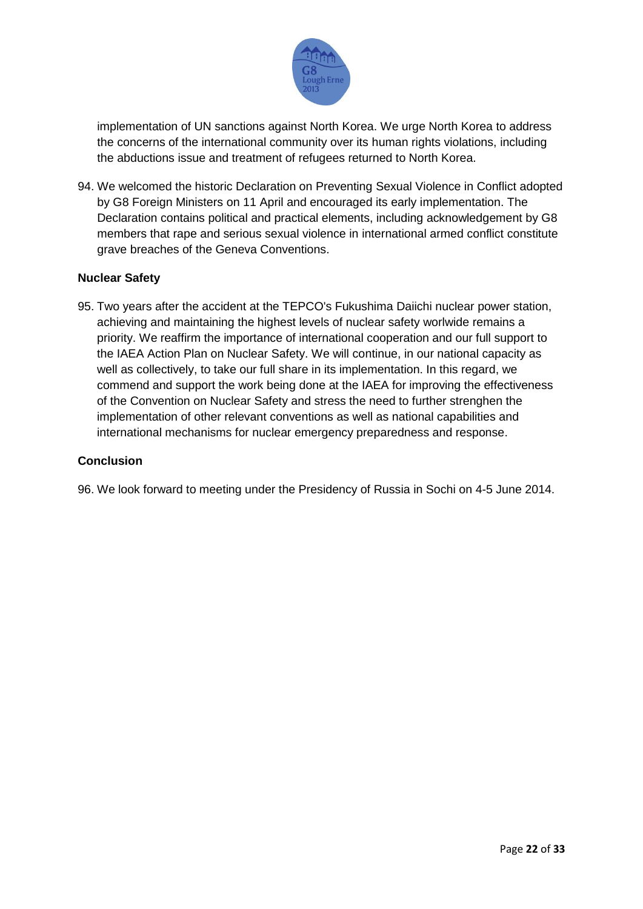

implementation of UN sanctions against North Korea. We urge North Korea to address the concerns of the international community over its human rights violations, including the abductions issue and treatment of refugees returned to North Korea.

94. We welcomed the historic Declaration on Preventing Sexual Violence in Conflict adopted by G8 Foreign Ministers on 11 April and encouraged its early implementation. The Declaration contains political and practical elements, including acknowledgement by G8 members that rape and serious sexual violence in international armed conflict constitute grave breaches of the Geneva Conventions.

## **Nuclear Safety**

95. Two years after the accident at the TEPCO's Fukushima Daiichi nuclear power station, achieving and maintaining the highest levels of nuclear safety worlwide remains a priority. We reaffirm the importance of international cooperation and our full support to the IAEA Action Plan on Nuclear Safety. We will continue, in our national capacity as well as collectively, to take our full share in its implementation. In this regard, we commend and support the work being done at the IAEA for improving the effectiveness of the Convention on Nuclear Safety and stress the need to further strenghen the implementation of other relevant conventions as well as national capabilities and international mechanisms for nuclear emergency preparedness and response.

#### **Conclusion**

96. We look forward to meeting under the Presidency of Russia in Sochi on 4-5 June 2014.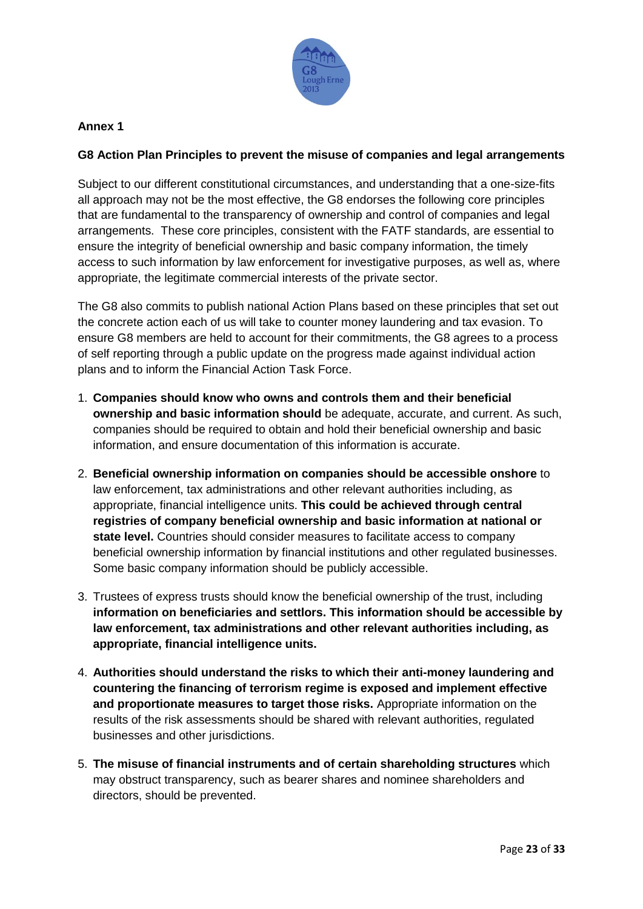

# **Annex 1**

## **G8 Action Plan Principles to prevent the misuse of companies and legal arrangements**

Subject to our different constitutional circumstances, and understanding that a one-size-fits all approach may not be the most effective, the G8 endorses the following core principles that are fundamental to the transparency of ownership and control of companies and legal arrangements. These core principles, consistent with the FATF standards, are essential to ensure the integrity of beneficial ownership and basic company information, the timely access to such information by law enforcement for investigative purposes, as well as, where appropriate, the legitimate commercial interests of the private sector.

The G8 also commits to publish national Action Plans based on these principles that set out the concrete action each of us will take to counter money laundering and tax evasion. To ensure G8 members are held to account for their commitments, the G8 agrees to a process of self reporting through a public update on the progress made against individual action plans and to inform the Financial Action Task Force.

- 1. **Companies should know who owns and controls them and their beneficial ownership and basic information should** be adequate, accurate, and current. As such, companies should be required to obtain and hold their beneficial ownership and basic information, and ensure documentation of this information is accurate.
- 2. **Beneficial ownership information on companies should be accessible onshore** to law enforcement, tax administrations and other relevant authorities including, as appropriate, financial intelligence units. **This could be achieved through central registries of company beneficial ownership and basic information at national or state level.** Countries should consider measures to facilitate access to company beneficial ownership information by financial institutions and other regulated businesses. Some basic company information should be publicly accessible.
- 3. Trustees of express trusts should know the beneficial ownership of the trust, including **information on beneficiaries and settlors. This information should be accessible by law enforcement, tax administrations and other relevant authorities including, as appropriate, financial intelligence units.**
- 4. **Authorities should understand the risks to which their anti-money laundering and countering the financing of terrorism regime is exposed and implement effective and proportionate measures to target those risks.** Appropriate information on the results of the risk assessments should be shared with relevant authorities, regulated businesses and other jurisdictions.
- 5. **The misuse of financial instruments and of certain shareholding structures** which may obstruct transparency, such as bearer shares and nominee shareholders and directors, should be prevented.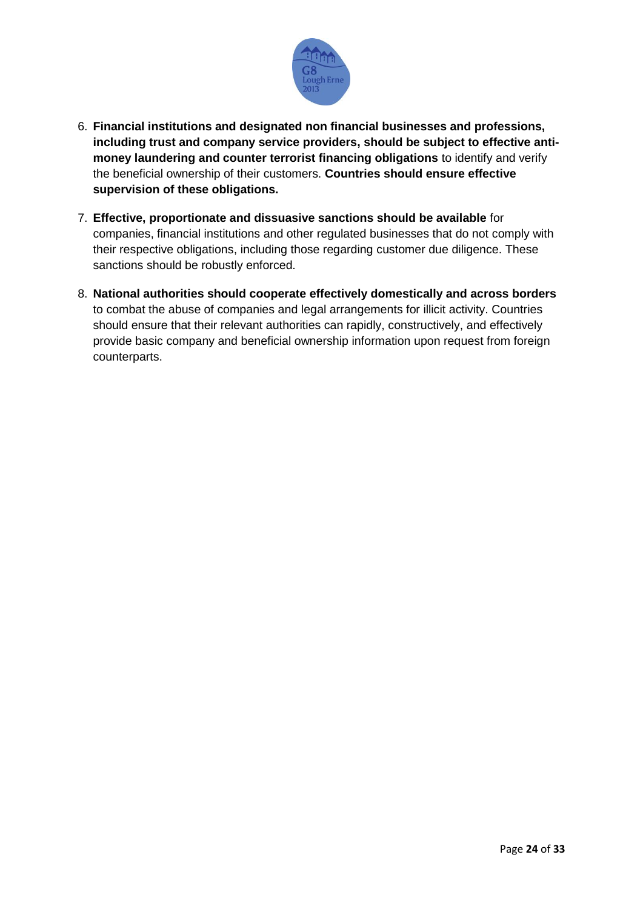

- 6. **Financial institutions and designated non financial businesses and professions, including trust and company service providers, should be subject to effective antimoney laundering and counter terrorist financing obligations** to identify and verify the beneficial ownership of their customers. **Countries should ensure effective supervision of these obligations.**
- 7. **Effective, proportionate and dissuasive sanctions should be available** for companies, financial institutions and other regulated businesses that do not comply with their respective obligations, including those regarding customer due diligence. These sanctions should be robustly enforced.
- 8. **National authorities should cooperate effectively domestically and across borders** to combat the abuse of companies and legal arrangements for illicit activity. Countries should ensure that their relevant authorities can rapidly, constructively, and effectively provide basic company and beneficial ownership information upon request from foreign counterparts.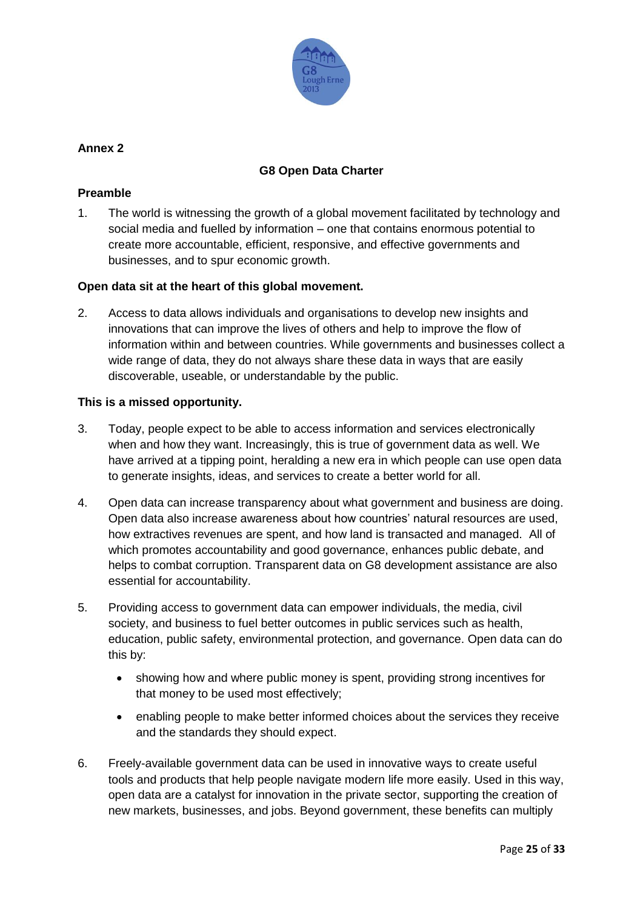

# **Annex 2**

# **G8 Open Data Charter**

#### **Preamble**

1. The world is witnessing the growth of a global movement facilitated by technology and social media and fuelled by information – one that contains enormous potential to create more accountable, efficient, responsive, and effective governments and businesses, and to spur economic growth.

## **Open data sit at the heart of this global movement.**

2. Access to data allows individuals and organisations to develop new insights and innovations that can improve the lives of others and help to improve the flow of information within and between countries. While governments and businesses collect a wide range of data, they do not always share these data in ways that are easily discoverable, useable, or understandable by the public.

## **This is a missed opportunity.**

- 3. Today, people expect to be able to access information and services electronically when and how they want. Increasingly, this is true of government data as well. We have arrived at a tipping point, heralding a new era in which people can use open data to generate insights, ideas, and services to create a better world for all.
- 4. Open data can increase transparency about what government and business are doing. Open data also increase awareness about how countries' natural resources are used, how extractives revenues are spent, and how land is transacted and managed. All of which promotes accountability and good governance, enhances public debate, and helps to combat corruption. Transparent data on G8 development assistance are also essential for accountability.
- 5. Providing access to government data can empower individuals, the media, civil society, and business to fuel better outcomes in public services such as health, education, public safety, environmental protection, and governance. Open data can do this by:
	- showing how and where public money is spent, providing strong incentives for that money to be used most effectively;
	- enabling people to make better informed choices about the services they receive and the standards they should expect.
- 6. Freely-available government data can be used in innovative ways to create useful tools and products that help people navigate modern life more easily. Used in this way, open data are a catalyst for innovation in the private sector, supporting the creation of new markets, businesses, and jobs. Beyond government, these benefits can multiply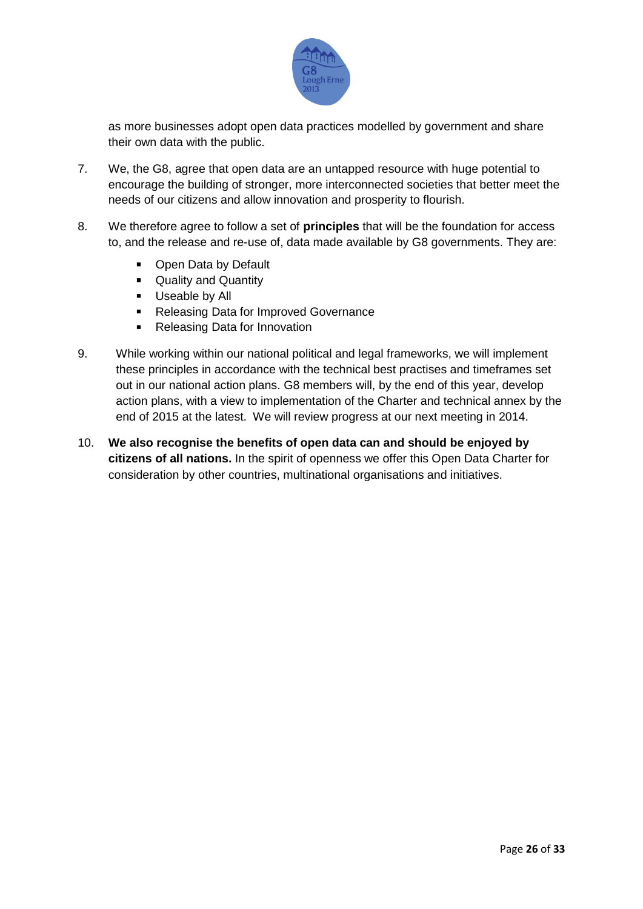

as more businesses adopt open data practices modelled by government and share their own data with the public.

- 7. We, the G8, agree that open data are an untapped resource with huge potential to encourage the building of stronger, more interconnected societies that better meet the needs of our citizens and allow innovation and prosperity to flourish.
- 8. We therefore agree to follow a set of **principles** that will be the foundation for access to, and the release and re-use of, data made available by G8 governments. They are:
	- Open Data by Default
	- **Quality and Quantity**
	- **Useable by All**
	- **Releasing Data for Improved Governance**
	- Releasing Data for Innovation
- 9. While working within our national political and legal frameworks, we will implement these principles in accordance with the technical best practises and timeframes set out in our national action plans. G8 members will, by the end of this year, develop action plans, with a view to implementation of the Charter and technical annex by the end of 2015 at the latest. We will review progress at our next meeting in 2014.
- 10. **We also recognise the benefits of open data can and should be enjoyed by citizens of all nations.** In the spirit of openness we offer this Open Data Charter for consideration by other countries, multinational organisations and initiatives.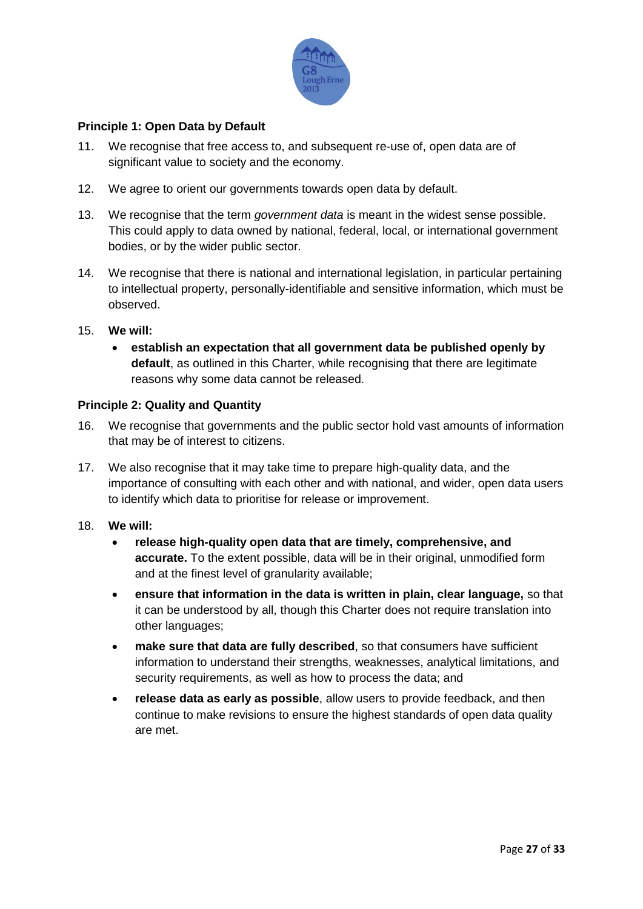

# **Principle 1: Open Data by Default**

- 11. We recognise that free access to, and subsequent re-use of, open data are of significant value to society and the economy.
- 12. We agree to orient our governments towards open data by default.
- 13. We recognise that the term *government data* is meant in the widest sense possible. This could apply to data owned by national, federal, local, or international government bodies, or by the wider public sector.
- 14. We recognise that there is national and international legislation, in particular pertaining to intellectual property, personally-identifiable and sensitive information, which must be observed.
- 15. **We will:**
	- **establish an expectation that all government data be published openly by default**, as outlined in this Charter, while recognising that there are legitimate reasons why some data cannot be released.

#### **Principle 2: Quality and Quantity**

- 16. We recognise that governments and the public sector hold vast amounts of information that may be of interest to citizens.
- 17. We also recognise that it may take time to prepare high-quality data, and the importance of consulting with each other and with national, and wider, open data users to identify which data to prioritise for release or improvement.
- 18. **We will:**
	- **release high-quality open data that are timely, comprehensive, and accurate.** To the extent possible, data will be in their original, unmodified form and at the finest level of granularity available;
	- **ensure that information in the data is written in plain, clear language,** so that it can be understood by all, though this Charter does not require translation into other languages;
	- **make sure that data are fully described**, so that consumers have sufficient information to understand their strengths, weaknesses, analytical limitations, and security requirements, as well as how to process the data; and
	- **release data as early as possible**, allow users to provide feedback, and then continue to make revisions to ensure the highest standards of open data quality are met.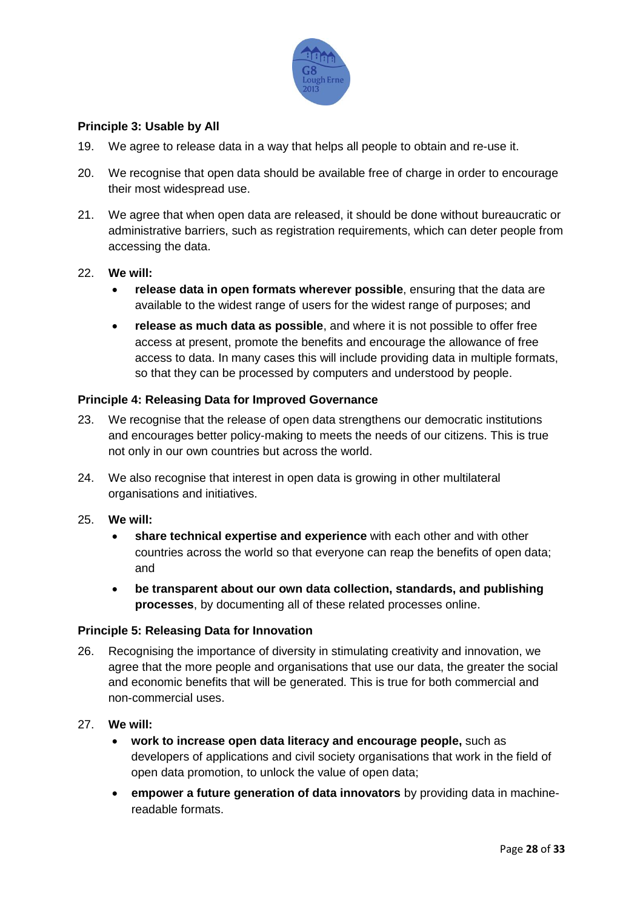

## **Principle 3: Usable by All**

- 19. We agree to release data in a way that helps all people to obtain and re-use it.
- 20. We recognise that open data should be available free of charge in order to encourage their most widespread use.
- 21. We agree that when open data are released, it should be done without bureaucratic or administrative barriers, such as registration requirements, which can deter people from accessing the data.

#### 22. **We will:**

- **release data in open formats wherever possible**, ensuring that the data are available to the widest range of users for the widest range of purposes; and
- **release as much data as possible**, and where it is not possible to offer free access at present, promote the benefits and encourage the allowance of free access to data. In many cases this will include providing data in multiple formats, so that they can be processed by computers and understood by people.

#### **Principle 4: Releasing Data for Improved Governance**

- 23. We recognise that the release of open data strengthens our democratic institutions and encourages better policy-making to meets the needs of our citizens. This is true not only in our own countries but across the world.
- 24. We also recognise that interest in open data is growing in other multilateral organisations and initiatives.
- 25. **We will:** 
	- **share technical expertise and experience** with each other and with other countries across the world so that everyone can reap the benefits of open data; and
	- **be transparent about our own data collection, standards, and publishing processes**, by documenting all of these related processes online.

#### **Principle 5: Releasing Data for Innovation**

- 26. Recognising the importance of diversity in stimulating creativity and innovation, we agree that the more people and organisations that use our data, the greater the social and economic benefits that will be generated. This is true for both commercial and non-commercial uses.
- 27. **We will:**
	- **work to increase open data literacy and encourage people,** such as developers of applications and civil society organisations that work in the field of open data promotion, to unlock the value of open data;
	- **empower a future generation of data innovators** by providing data in machinereadable formats.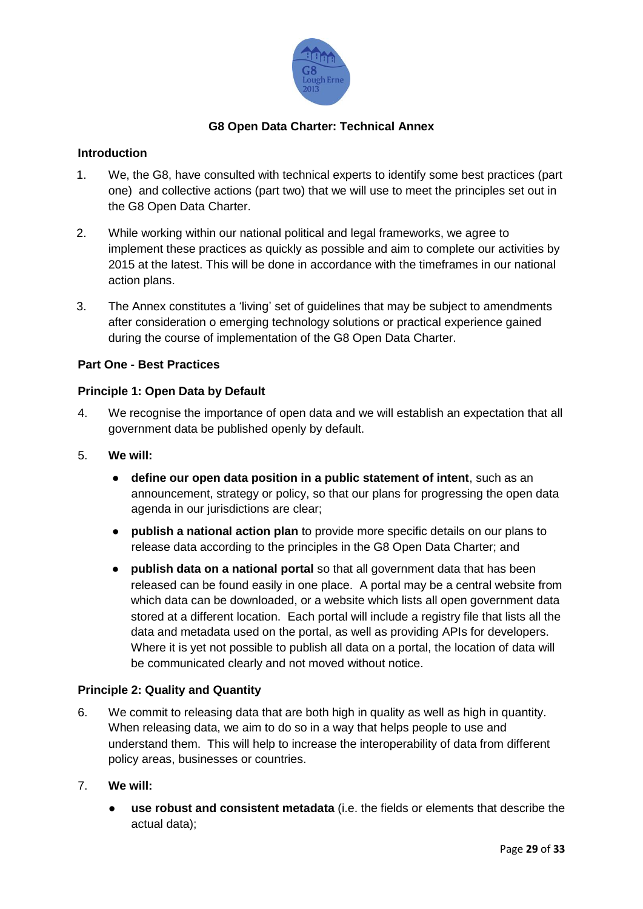

# **G8 Open Data Charter: Technical Annex**

#### **Introduction**

- 1. We, the G8, have consulted with technical experts to identify some best practices (part one) and collective actions (part two) that we will use to meet the principles set out in the G8 Open Data Charter.
- 2. While working within our national political and legal frameworks, we agree to implement these practices as quickly as possible and aim to complete our activities by 2015 at the latest. This will be done in accordance with the timeframes in our national action plans.
- 3. The Annex constitutes a 'living' set of guidelines that may be subject to amendments after consideration o emerging technology solutions or practical experience gained during the course of implementation of the G8 Open Data Charter.

## **Part One - Best Practices**

#### **Principle 1: Open Data by Default**

- 4. We recognise the importance of open data and we will establish an expectation that all government data be published openly by default.
- 5. **We will:**
	- **define our open data position in a public statement of intent**, such as an announcement, strategy or policy, so that our plans for progressing the open data agenda in our jurisdictions are clear;
	- **publish a national action plan** to provide more specific details on our plans to release data according to the principles in the G8 Open Data Charter; and
	- **publish data on a national portal** so that all government data that has been released can be found easily in one place. A portal may be a central website from which data can be downloaded, or a website which lists all open government data stored at a different location. Each portal will include a registry file that lists all the data and metadata used on the portal, as well as providing APIs for developers. Where it is yet not possible to publish all data on a portal, the location of data will be communicated clearly and not moved without notice.

#### **Principle 2: Quality and Quantity**

- 6. We commit to releasing data that are both high in quality as well as high in quantity. When releasing data, we aim to do so in a way that helps people to use and understand them. This will help to increase the interoperability of data from different policy areas, businesses or countries.
- 7. **We will:**
	- use robust and consistent metadata (i.e. the fields or elements that describe the actual data);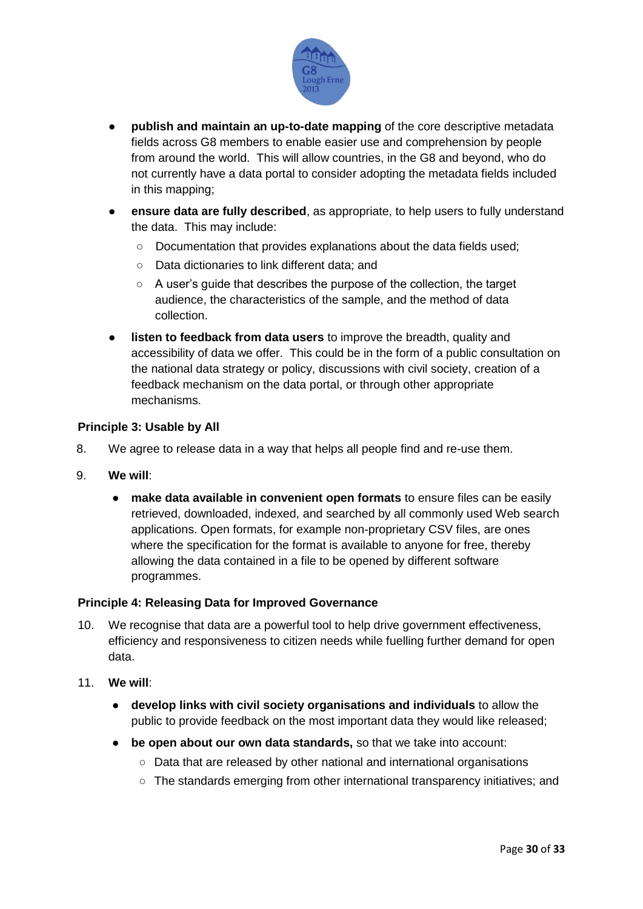

- **publish and maintain an up-to-date mapping** of the core descriptive metadata fields across G8 members to enable easier use and comprehension by people from around the world. This will allow countries, in the G8 and beyond, who do not currently have a data portal to consider adopting the metadata fields included in this mapping;
- **ensure data are fully described**, as appropriate, to help users to fully understand the data. This may include:
	- Documentation that provides explanations about the data fields used;
	- Data dictionaries to link different data; and
	- A user's quide that describes the purpose of the collection, the target audience, the characteristics of the sample, and the method of data collection.
- **listen to feedback from data users** to improve the breadth, quality and accessibility of data we offer. This could be in the form of a public consultation on the national data strategy or policy, discussions with civil society, creation of a feedback mechanism on the data portal, or through other appropriate mechanisms.

#### **Principle 3: Usable by All**

- 8. We agree to release data in a way that helps all people find and re-use them.
- 9. **We will**:
	- **make data available in convenient open formats** to ensure files can be easily retrieved, downloaded, indexed, and searched by all commonly used Web search applications. Open formats, for example non-proprietary CSV files, are ones where the specification for the format is available to anyone for free, thereby allowing the data contained in a file to be opened by different software programmes.

#### **Principle 4: Releasing Data for Improved Governance**

- 10. We recognise that data are a powerful tool to help drive government effectiveness, efficiency and responsiveness to citizen needs while fuelling further demand for open data.
- 11. **We will**:
	- **develop links with civil society organisations and individuals** to allow the public to provide feedback on the most important data they would like released;
	- **be open about our own data standards,** so that we take into account:
		- Data that are released by other national and international organisations
		- The standards emerging from other international transparency initiatives; and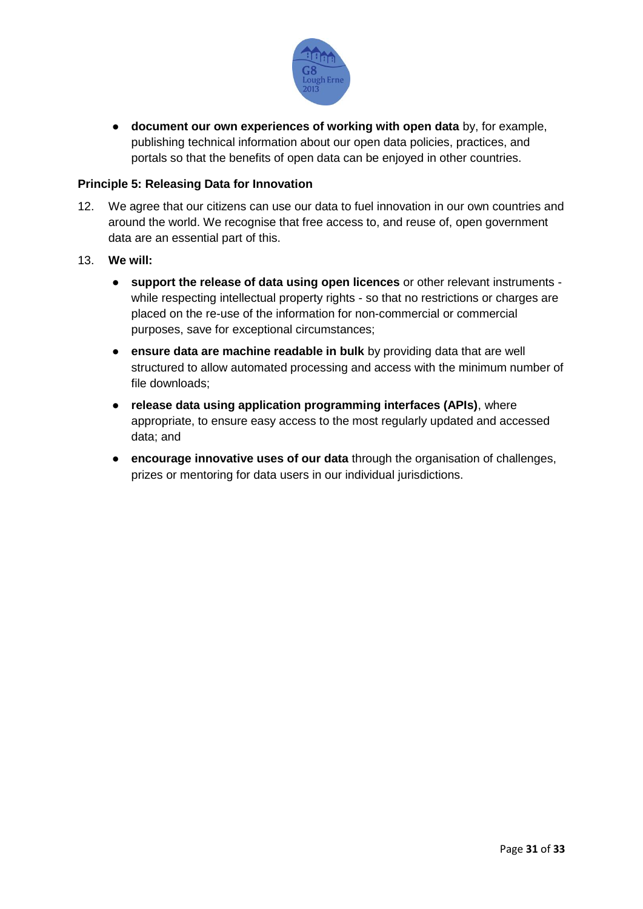

● **document our own experiences of working with open data** by, for example, publishing technical information about our open data policies, practices, and portals so that the benefits of open data can be enjoyed in other countries.

#### **Principle 5: Releasing Data for Innovation**

- 12. We agree that our citizens can use our data to fuel innovation in our own countries and around the world. We recognise that free access to, and reuse of, open government data are an essential part of this.
- 13. **We will:** 
	- **support the release of data using open licences** or other relevant instruments while respecting intellectual property rights - so that no restrictions or charges are placed on the re-use of the information for non-commercial or commercial purposes, save for exceptional circumstances;
	- **ensure data are machine readable in bulk** by providing data that are well structured to allow automated processing and access with the minimum number of file downloads;
	- **release data using application programming interfaces (APIs)**, where appropriate, to ensure easy access to the most regularly updated and accessed data; and
	- **encourage innovative uses of our data** through the organisation of challenges, prizes or mentoring for data users in our individual jurisdictions.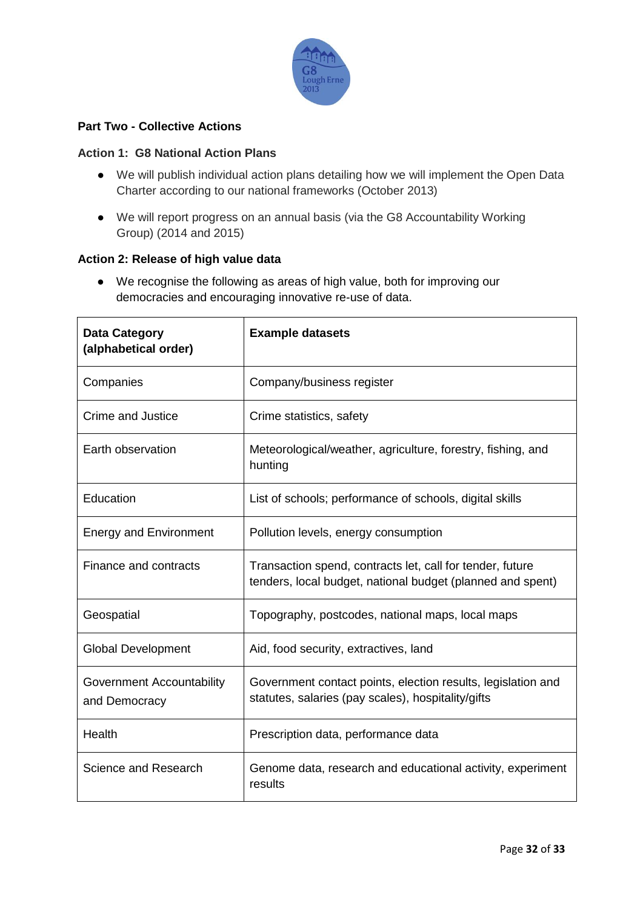

# **Part Two - Collective Actions**

#### **Action 1: G8 National Action Plans**

- We will publish individual action plans detailing how we will implement the Open Data Charter according to our national frameworks (October 2013)
- We will report progress on an annual basis (via the G8 Accountability Working Group) (2014 and 2015)

#### **Action 2: Release of high value data**

● We recognise the following as areas of high value, both for improving our democracies and encouraging innovative re-use of data.

| <b>Data Category</b><br>(alphabetical order)      | <b>Example datasets</b>                                                                                                 |
|---------------------------------------------------|-------------------------------------------------------------------------------------------------------------------------|
| Companies                                         | Company/business register                                                                                               |
| <b>Crime and Justice</b>                          | Crime statistics, safety                                                                                                |
| Earth observation                                 | Meteorological/weather, agriculture, forestry, fishing, and<br>hunting                                                  |
| Education                                         | List of schools; performance of schools, digital skills                                                                 |
| <b>Energy and Environment</b>                     | Pollution levels, energy consumption                                                                                    |
| Finance and contracts                             | Transaction spend, contracts let, call for tender, future<br>tenders, local budget, national budget (planned and spent) |
| Geospatial                                        | Topography, postcodes, national maps, local maps                                                                        |
| <b>Global Development</b>                         | Aid, food security, extractives, land                                                                                   |
| <b>Government Accountability</b><br>and Democracy | Government contact points, election results, legislation and<br>statutes, salaries (pay scales), hospitality/gifts      |
| Health                                            | Prescription data, performance data                                                                                     |
| Science and Research                              | Genome data, research and educational activity, experiment<br>results                                                   |